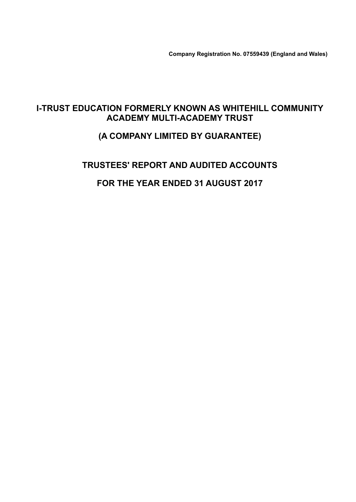**Company Registration No. 07559439 (England and Wales)**

### **I-TRUST EDUCATION FORMERLY KNOWN AS WHITEHILL COMMUNITY ACADEMY MULTI-ACADEMY TRUST**

### **(A COMPANY LIMITED BY GUARANTEE)**

### **TRUSTEES' REPORT AND AUDITED ACCOUNTS**

### **FOR THE YEAR ENDED 31 AUGUST 2017**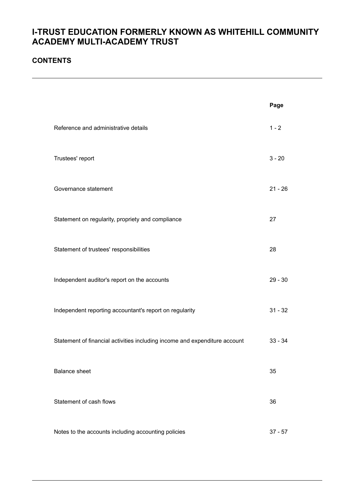### **CONTENTS**

|                                                                            | Page      |
|----------------------------------------------------------------------------|-----------|
| Reference and administrative details                                       | $1 - 2$   |
| Trustees' report                                                           | $3 - 20$  |
| Governance statement                                                       | $21 - 26$ |
| Statement on regularity, propriety and compliance                          | 27        |
| Statement of trustees' responsibilities                                    | 28        |
| Independent auditor's report on the accounts                               | $29 - 30$ |
| Independent reporting accountant's report on regularity                    | $31 - 32$ |
| Statement of financial activities including income and expenditure account | $33 - 34$ |
| <b>Balance sheet</b>                                                       | 35        |
| Statement of cash flows                                                    | 36        |
| Notes to the accounts including accounting policies                        | $37 - 57$ |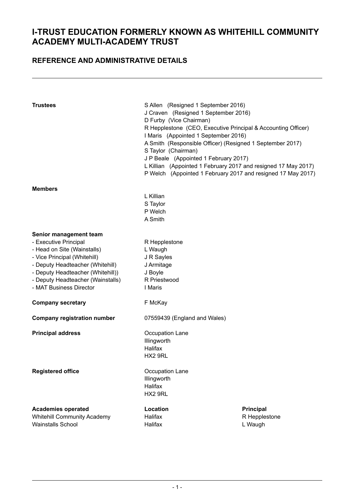### **REFERENCE AND ADMINISTRATIVE DETAILS**

| <b>Trustees</b>                                                                                                                                                                                                                                         | S Allen (Resigned 1 September 2016)<br>J Craven (Resigned 1 September 2016)<br>D Furby (Vice Chairman)<br>R Hepplestone (CEO, Executive Principal & Accounting Officer)<br>I Maris (Appointed 1 September 2016)<br>A Smith (Responsible Officer) (Resigned 1 September 2017)<br>S Taylor (Chairman)<br>J P Beale (Appointed 1 February 2017)<br>L Killian (Appointed 1 February 2017 and resigned 17 May 2017)<br>P Welch (Appointed 1 February 2017 and resigned 17 May 2017) |                                              |  |  |
|---------------------------------------------------------------------------------------------------------------------------------------------------------------------------------------------------------------------------------------------------------|--------------------------------------------------------------------------------------------------------------------------------------------------------------------------------------------------------------------------------------------------------------------------------------------------------------------------------------------------------------------------------------------------------------------------------------------------------------------------------|----------------------------------------------|--|--|
| <b>Members</b>                                                                                                                                                                                                                                          | L Killian<br>S Taylor<br>P Welch<br>A Smith                                                                                                                                                                                                                                                                                                                                                                                                                                    |                                              |  |  |
| Senior management team<br>- Executive Principal<br>- Head on Site (Wainstalls)<br>- Vice Principal (Whitehill)<br>- Deputy Headteacher (Whitehill)<br>- Deputy Headteacher (Whitehill))<br>- Deputy Headteacher (Wainstalls)<br>- MAT Business Director | R Hepplestone<br>L Waugh<br>J R Sayles<br>J Armitage<br>J Boyle<br>R Priestwood<br>I Maris                                                                                                                                                                                                                                                                                                                                                                                     |                                              |  |  |
| <b>Company secretary</b>                                                                                                                                                                                                                                | F McKay                                                                                                                                                                                                                                                                                                                                                                                                                                                                        |                                              |  |  |
| <b>Company registration number</b>                                                                                                                                                                                                                      | 07559439 (England and Wales)                                                                                                                                                                                                                                                                                                                                                                                                                                                   |                                              |  |  |
| <b>Principal address</b>                                                                                                                                                                                                                                | Occupation Lane<br>Illingworth<br>Halifax<br>HX2 9RL                                                                                                                                                                                                                                                                                                                                                                                                                           |                                              |  |  |
| <b>Registered office</b>                                                                                                                                                                                                                                | Occupation Lane<br>Illingworth<br>Halifax<br>HX2 9RL                                                                                                                                                                                                                                                                                                                                                                                                                           |                                              |  |  |
| <b>Academies operated</b><br><b>Whitehill Community Academy</b><br><b>Wainstalls School</b>                                                                                                                                                             | Location<br><b>Halifax</b><br>Halifax                                                                                                                                                                                                                                                                                                                                                                                                                                          | <b>Principal</b><br>R Hepplestone<br>L Waugh |  |  |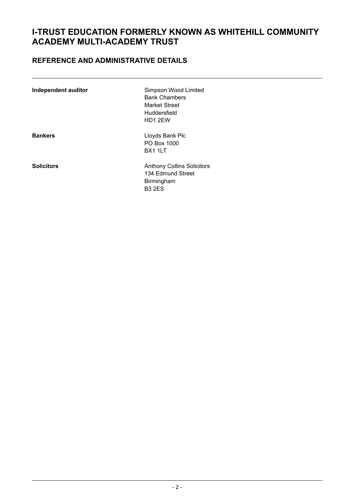### **REFERENCE AND ADMINISTRATIVE DETAILS**

| Independent auditor | Simpson Wood Limited<br><b>Bank Chambers</b><br>Market Street<br>Huddersfield<br>HD1 2EW |
|---------------------|------------------------------------------------------------------------------------------|
| <b>Bankers</b>      | Lloyds Bank Plc<br>PO Box 1000<br>BX1 1LT                                                |
| <b>Solicitors</b>   | <b>Anthony Collins Solicitors</b><br>134 Edmund Street<br>Birmingham<br><b>B3 2ES</b>    |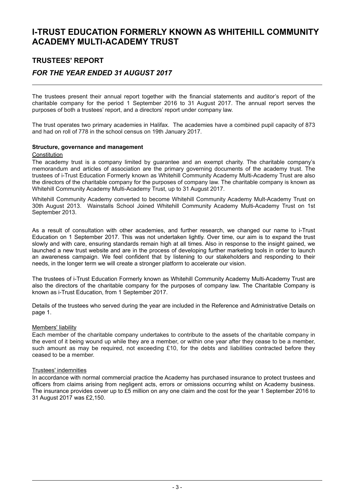### **TRUSTEES' REPORT**

#### *FOR THE YEAR ENDED 31 AUGUST 2017*

The trustees present their annual report together with the financial statements and auditor's report of the charitable company for the period 1 September 2016 to 31 August 2017. The annual report serves the purposes of both a trustees' report, and a directors' report under company law.

The trust operates two primary academies in Halifax. The academies have a combined pupil capacity of 873 and had on roll of 778 in the school census on 19th January 2017.

#### **Structure, governance and management**

#### **Constitution**

The academy trust is a company limited by guarantee and an exempt charity. The charitable company's memorandum and articles of association are the primary governing documents of the academy trust. The trustees of i-Trust Education Formerly known as Whitehill Community Academy Multi-Academy Trust are also the directors of the charitable company for the purposes of company law. The charitable company is known as Whitehill Community Academy Multi-Academy Trust, up to 31 August 2017.

Whitehill Community Academy converted to become Whitehill Community Academy Mult-Academy Trust on 30th August 2013. Wainstalls School Joined Whitehill Community Academy Multi-Academy Trust on 1st September 2013.

As a result of consultation with other academies, and further research, we changed our name to i-Trust Education on 1 September 2017. This was not undertaken lightly. Over time, our aim is to expand the trust slowly and with care, ensuring standards remain high at all times. Also in response to the insight gained, we launched a new trust website and are in the process of developing further marketing tools in order to launch an awareness campaign. We feel confident that by listening to our stakeholders and responding to their needs, in the longer term we will create a stronger platform to accelerate our vision.

The trustees of i-Trust Education Formerly known as Whitehill Community Academy Multi-Academy Trust are also the directors of the charitable company for the purposes of company law. The Charitable Company is known as i-Trust Education, from 1 September 2017.

Details of the trustees who served during the year are included in the Reference and Administrative Details on page 1.

#### Members' liability

Each member of the charitable company undertakes to contribute to the assets of the charitable company in the event of it being wound up while they are a member, or within one year after they cease to be a member, such amount as may be required, not exceeding £10, for the debts and liabilities contracted before they ceased to be a member.

#### Trustees' indemnities

In accordance with normal commercial practice the Academy has purchased insurance to protect trustees and officers from claims arising from negligent acts, errors or omissions occurring whilst on Academy business. The insurance provides cover up to £5 million on any one claim and the cost for the year 1 September 2016 to 31 August 2017 was £2,150.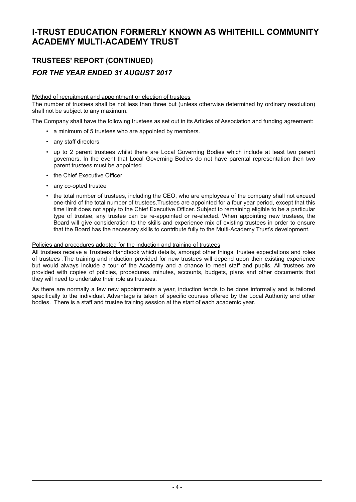### **TRUSTEES' REPORT (CONTINUED)**

### *FOR THE YEAR ENDED 31 AUGUST 2017*

#### Method of recruitment and appointment or election of trustees

The number of trustees shall be not less than three but (unless otherwise determined by ordinary resolution) shall not be subject to any maximum.

The Company shall have the following trustees as set out in its Articles of Association and funding agreement:

- a minimum of 5 trustees who are appointed by members.
- any staff directors
- up to 2 parent trustees whilst there are Local Governing Bodies which include at least two parent governors. In the event that Local Governing Bodies do not have parental representation then two parent trustees must be appointed.
- the Chief Executive Officer
- any co-opted trustee
- the total number of trustees, including the CEO, who are employees of the company shall not exceed one-third of the total number of trustees.Trustees are appointed for a four year period, except that this time limit does not apply to the Chief Executive Officer. Subject to remaining eligible to be a particular type of trustee, any trustee can be re-appointed or re-elected. When appointing new trustees, the Board will give consideration to the skills and experience mix of existing trustees in order to ensure that the Board has the necessary skills to contribute fully to the Multi-Academy Trust's development.

#### Policies and procedures adopted for the induction and training of trustees

All trustees receive a Trustees Handbook which details, amongst other things, trustee expectations and roles of trustees .The training and induction provided for new trustees will depend upon their existing experience but would always include a tour of the Academy and a chance to meet staff and pupils. All trustees are provided with copies of policies, procedures, minutes, accounts, budgets, plans and other documents that they will need to undertake their role as trustees.

As there are normally a few new appointments a year, induction tends to be done informally and is tailored specifically to the individual. Advantage is taken of specific courses offered by the Local Authority and other bodies. There is a staff and trustee training session at the start of each academic year.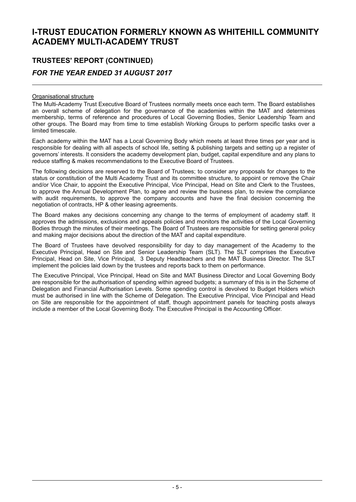### **TRUSTEES' REPORT (CONTINUED)** *FOR THE YEAR ENDED 31 AUGUST 2017*

#### Organisational structure

The Multi-Academy Trust Executive Board of Trustees normally meets once each term. The Board establishes an overall scheme of delegation for the governance of the academies within the MAT and determines membership, terms of reference and procedures of Local Governing Bodies, Senior Leadership Team and other groups. The Board may from time to time establish Working Groups to perform specific tasks over a limited timescale.

Each academy within the MAT has a Local Governing Body which meets at least three times per year and is responsible for dealing with all aspects of school life, setting & publishing targets and setting up a register of governors' interests. It considers the academy development plan, budget, capital expenditure and any plans to reduce staffing & makes recommendations to the Executive Board of Trustees.

The following decisions are reserved to the Board of Trustees; to consider any proposals for changes to the status or constitution of the Multi Academy Trust and its committee structure, to appoint or remove the Chair and/or Vice Chair, to appoint the Executive Principal, Vice Principal, Head on Site and Clerk to the Trustees, to approve the Annual Development Plan, to agree and review the business plan, to review the compliance with audit requirements, to approve the company accounts and have the final decision concerning the negotiation of contracts, HP & other leasing agreements.

The Board makes any decisions concerning any change to the terms of employment of academy staff. It approves the admissions, exclusions and appeals policies and monitors the activities of the Local Governing Bodies through the minutes of their meetings. The Board of Trustees are responsible for setting general policy and making major decisions about the direction of the MAT and capital expenditure.

The Board of Trustees have devolved responsibility for day to day management of the Academy to the Executive Principal, Head on Site and Senior Leadership Team (SLT). The SLT comprises the Executive Principal, Head on Site, Vice Principal, 3 Deputy Headteachers and the MAT Business Director. The SLT implement the policies laid down by the trustees and reports back to them on performance.

The Executive Principal, Vice Principal, Head on Site and MAT Business Director and Local Governing Body are responsible for the authorisation of spending within agreed budgets; a summary of this is in the Scheme of Delegation and Financial Authorisation Levels. Some spending control is devolved to Budget Holders which must be authorised in line with the Scheme of Delegation. The Executive Principal, Vice Principal and Head on Site are responsible for the appointment of staff, though appointment panels for teaching posts always include a member of the Local Governing Body. The Executive Principal is the Accounting Officer.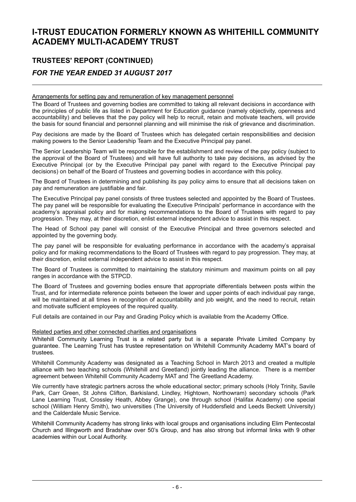### **TRUSTEES' REPORT (CONTINUED)** *FOR THE YEAR ENDED 31 AUGUST 2017*

Arrangements for setting pay and remuneration of key management personnel

The Board of Trustees and governing bodies are committed to taking all relevant decisions in accordance with the principles of public life as listed in Department for Education guidance (namely objectivity, openness and accountability) and believes that the pay policy will help to recruit, retain and motivate teachers, will provide the basis for sound financial and personnel planning and will minimise the risk of grievance and discrimination.

Pay decisions are made by the Board of Trustees which has delegated certain responsibilities and decision making powers to the Senior Leadership Team and the Executive Principal pay panel.

The Senior Leadership Team will be responsible for the establishment and review of the pay policy (subject to the approval of the Board of Trustees) and will have full authority to take pay decisions, as advised by the Executive Principal (or by the Executive Principal pay panel with regard to the Executive Principal pay decisions) on behalf of the Board of Trustees and governing bodies in accordance with this policy.

The Board of Trustees in determining and publishing its pay policy aims to ensure that all decisions taken on pay and remuneration are justifiable and fair.

The Executive Principal pay panel consists of three trustees selected and appointed by the Board of Trustees. The pay panel will be responsible for evaluating the Executive Principals' performance in accordance with the academy's appraisal policy and for making recommendations to the Board of Trustees with regard to pay progression. They may, at their discretion, enlist external independent advice to assist in this respect.

The Head of School pay panel will consist of the Executive Principal and three governors selected and appointed by the governing body.

The pay panel will be responsible for evaluating performance in accordance with the academy's appraisal policy and for making recommendations to the Board of Trustees with regard to pay progression. They may, at their discretion, enlist external independent advice to assist in this respect.

The Board of Trustees is committed to maintaining the statutory minimum and maximum points on all pay ranges in accordance with the STPCD.

The Board of Trustees and governing bodies ensure that appropriate differentials between posts within the Trust, and for intermediate reference points between the lower and upper points of each individual pay range, will be maintained at all times in recognition of accountability and job weight, and the need to recruit, retain and motivate sufficient employees of the required quality.

Full details are contained in our Pay and Grading Policy which is available from the Academy Office.

#### Related parties and other connected charities and organisations

Whitehill Community Learning Trust is a related party but is a separate Private Limited Company by guarantee. The Learning Trust has trustee representation on Whitehill Community Academy MAT's board of trustees.

Whitehill Community Academy was designated as a Teaching School in March 2013 and created a multiple alliance with two teaching schools (Whitehill and Greetland) jointly leading the alliance. There is a member agreement between Whitehill Community Academy MAT and The Greetland Academy.

We currently have strategic partners across the whole educational sector; primary schools (Holy Trinity, Savile Park, Carr Green, St Johns Clifton, Barkisland, Lindley, Hightown, Northowram) secondary schools (Park Lane Learning Trust, Crossley Heath, Abbey Grange), one through school (Halifax Academy) one special school (William Henry Smith), two universities (The University of Huddersfield and Leeds Beckett University) and the Calderdale Music Service.

Whitehill Community Academy has strong links with local groups and organisations including Elim Pentecostal Church and Illingworth and Bradshaw over 50's Group, and has also strong but informal links with 9 other academies within our Local Authority.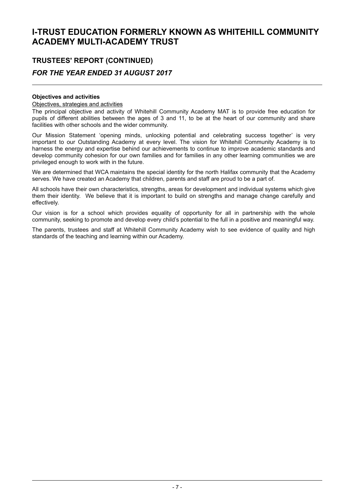### **TRUSTEES' REPORT (CONTINUED)** *FOR THE YEAR ENDED 31 AUGUST 2017*

#### **Objectives and activities**

#### Objectives, strategies and activities

The principal objective and activity of Whitehill Community Academy MAT is to provide free education for pupils of different abilities between the ages of 3 and 11, to be at the heart of our community and share facilities with other schools and the wider community.

Our Mission Statement 'opening minds, unlocking potential and celebrating success together' is very important to our Outstanding Academy at every level. The vision for Whitehill Community Academy is to harness the energy and expertise behind our achievements to continue to improve academic standards and develop community cohesion for our own families and for families in any other learning communities we are privileged enough to work with in the future.

We are determined that WCA maintains the special identity for the north Halifax community that the Academy serves. We have created an Academy that children, parents and staff are proud to be a part of.

All schools have their own characteristics, strengths, areas for development and individual systems which give them their identity. We believe that it is important to build on strengths and manage change carefully and effectively.

Our vision is for a school which provides equality of opportunity for all in partnership with the whole community, seeking to promote and develop every child's potential to the full in a positive and meaningful way.

The parents, trustees and staff at Whitehill Community Academy wish to see evidence of quality and high standards of the teaching and learning within our Academy.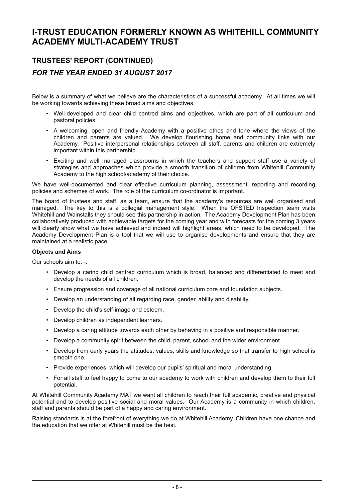### **TRUSTEES' REPORT (CONTINUED)** *FOR THE YEAR ENDED 31 AUGUST 2017*

Below is a summary of what we believe are the characteristics of a successful academy. At all times we will be working towards achieving these broad aims and objectives.

- Well-developed and clear child centred aims and objectives, which are part of all curriculum and pastoral policies.
- A welcoming, open and friendly Academy with a positive ethos and tone where the views of the children and parents are valued. We develop flourishing home and community links with our Academy. Positive interpersonal relationships between all staff, parents and children are extremely important within this partnership.
- Exciting and well managed classrooms in which the teachers and support staff use a variety of strategies and approaches which provide a smooth transition of children from Whitehill Community Academy to the high school/academy of their choice.

We have well-documented and clear effective curriculum planning, assessment, reporting and recording policies and schemes of work. The role of the curriculum co-ordinator is important.

The board of trustees and staff, as a team, ensure that the academy's resources are well organised and managed. The key to this is a collegial management style. When the OFSTED Inspection team visits Whitehill and Wainstalls they should see this partnership in action. The Academy Development Plan has been collaboratively produced with achievable targets for the coming year and with forecasts for the coming 3 years will clearly show what we have achieved and indeed will highlight areas, which need to be developed. The Academy Development Plan is a tool that we will use to organise developments and ensure that they are maintained at a realistic pace.

#### **Objects and Aims**

Our schools aim to: -:

- Develop a caring child centred curriculum which is broad, balanced and differentiated to meet and develop the needs of all children.
- Ensure progression and coverage of all national curriculum core and foundation subjects.
- Develop an understanding of all regarding race, gender, ability and disability.
- Develop the child's self-image and esteem.
- Develop children as independent learners.
- Develop a caring attitude towards each other by behaving in a positive and responsible manner.
- Develop a community spirit between the child, parent, school and the wider environment.
- Develop from early years the attitudes, values, skills and knowledge so that transfer to high school is smooth one.
- Provide experiences, which will develop our pupils' spiritual and moral understanding.
- For all staff to feel happy to come to our academy to work with children and develop them to their full potential.

At Whitehill Community Academy MAT we want all children to reach their full academic, creative and physical potential and to develop positive social and moral values. Our Academy is a community in which children, staff and parents should be part of a happy and caring environment.

Raising standards is at the forefront of everything we do at Whitehill Academy. Children have one chance and the education that we offer at Whitehill must be the best.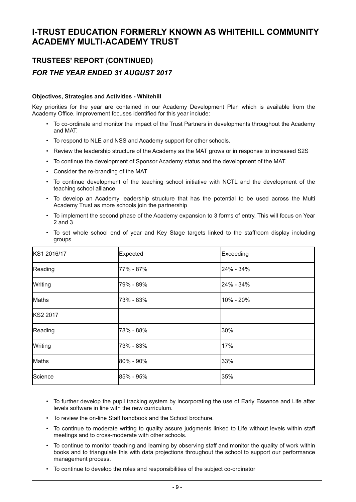### **TRUSTEES' REPORT (CONTINUED)**

### *FOR THE YEAR ENDED 31 AUGUST 2017*

#### **Objectives, Strategies and Activities - Whitehill**

Key priorities for the year are contained in our Academy Development Plan which is available from the Academy Office. Improvement focuses identified for this year include:

- To co-ordinate and monitor the impact of the Trust Partners in developments throughout the Academy and MAT.
- To respond to NLE and NSS and Academy support for other schools.
- Review the leadership structure of the Academy as the MAT grows or in response to increased S2S
- To continue the development of Sponsor Academy status and the development of the MAT.
- Consider the re-branding of the MAT
- To continue development of the teaching school initiative with NCTL and the development of the teaching school alliance
- To develop an Academy leadership structure that has the potential to be used across the Multi Academy Trust as more schools join the partnership
- To implement the second phase of the Academy expansion to 3 forms of entry. This will focus on Year 2 and 3
- To set whole school end of year and Key Stage targets linked to the staffroom display including groups

| KS1 2016/17 | Expected  | Exceeding |
|-------------|-----------|-----------|
| Reading     | 77% - 87% | 24% - 34% |
| Writing     | 79% - 89% | 24% - 34% |
| Maths       | 73% - 83% | 10% - 20% |
| KS2 2017    |           |           |
| Reading     | 78% - 88% | 30%       |
| Writing     | 73% - 83% | 17%       |
| Maths       | 80% - 90% | 33%       |
| Science     | 85% - 95% | 35%       |

- To further develop the pupil tracking system by incorporating the use of Early Essence and Life after levels software in line with the new curriculum.
- To review the on-line Staff handbook and the School brochure.
- To continue to moderate writing to quality assure judgments linked to Life without levels within staff meetings and to cross-moderate with other schools.
- To continue to monitor teaching and learning by observing staff and monitor the quality of work within books and to triangulate this with data projections throughout the school to support our performance management process.
- To continue to develop the roles and responsibilities of the subject co-ordinator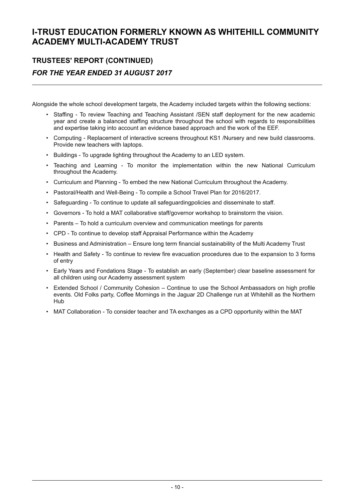### **TRUSTEES' REPORT (CONTINUED)** *FOR THE YEAR ENDED 31 AUGUST 2017*

Alongside the whole school development targets, the Academy included targets within the following sections:

- Staffing To review Teaching and Teaching Assistant /SEN staff deployment for the new academic year and create a balanced staffing structure throughout the school with regards to responsibilities and expertise taking into account an evidence based approach and the work of the EEF.
- Computing Replacement of interactive screens throughout KS1 /Nursery and new build classrooms. Provide new teachers with laptops.
- Buildings To upgrade lighting throughout the Academy to an LED system.
- Teaching and Learning To monitor the implementation within the new National Curriculum throughout the Academy.
- Curriculum and Planning To embed the new National Curriculum throughout the Academy.
- Pastoral/Health and Well-Being To compile a School Travel Plan for 2016/2017.
- Safeguarding To continue to update all safeguardingpolicies and disseminate to staff.
- Governors To hold a MAT collaborative staff/governor workshop to brainstorm the vision.
- Parents To hold a curriculum overview and communication meetings for parents
- CPD To continue to develop staff Appraisal Performance within the Academy
- Business and Administration Ensure long term financial sustainability of the Multi Academy Trust
- Health and Safety To continue to review fire evacuation procedures due to the expansion to 3 forms of entry
- Early Years and Fondations Stage To establish an early (September) clear baseline assessment for all children using our Academy assessment system
- Extended School / Community Cohesion Continue to use the School Ambassadors on high profile events. Old Folks party, Coffee Mornings in the Jaguar 2D Challenge run at Whitehill as the Northern Hub
- MAT Collaboration To consider teacher and TA exchanges as a CPD opportunity within the MAT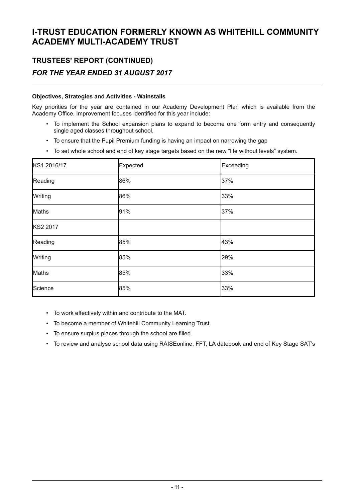### **TRUSTEES' REPORT (CONTINUED)**

### *FOR THE YEAR ENDED 31 AUGUST 2017*

#### **Objectives, Strategies and Activities - Wainstalls**

Key priorities for the year are contained in our Academy Development Plan which is available from the Academy Office. Improvement focuses identified for this year include:

- To implement the School expansion plans to expand to become one form entry and consequently single aged classes throughout school.
- To ensure that the Pupil Premium funding is having an impact on narrowing the gap
- To set whole school and end of key stage targets based on the new "life without levels" system.

| KS1 2016/17 | Expected | Exceeding |
|-------------|----------|-----------|
| Reading     | 86%      | 37%       |
| Writing     | 86%      | 33%       |
| Maths       | 91%      | 37%       |
| KS2 2017    |          |           |
| Reading     | 85%      | 43%       |
| Writing     | 85%      | 29%       |
| Maths       | 85%      | 33%       |
| Science     | 85%      | 33%       |

- To work effectively within and contribute to the MAT.
- To become a member of Whitehill Community Learning Trust.
- To ensure surplus places through the school are filled.
- To review and analyse school data using RAISEonline, FFT, LA datebook and end of Key Stage SAT's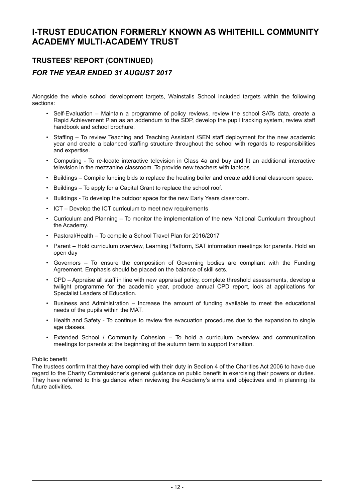### **TRUSTEES' REPORT (CONTINUED)** *FOR THE YEAR ENDED 31 AUGUST 2017*

Alongside the whole school development targets, Wainstalls School included targets within the following sections:

- Self-Evaluation Maintain a programme of policy reviews, review the school SATs data, create a Rapid Achievement Plan as an addendum to the SDP, develop the pupil tracking system, review staff handbook and school brochure.
- Staffing To review Teaching and Teaching Assistant /SEN staff deployment for the new academic year and create a balanced staffing structure throughout the school with regards to responsibilities and expertise.
- Computing To re-locate interactive television in Class 4a and buy and fit an additional interactive television in the mezzanine classroom. To provide new teachers with laptops.
- Buildings Compile funding bids to replace the heating boiler and create additional classroom space.
- Buildings To apply for a Capital Grant to replace the school roof.
- Buildings To develop the outdoor space for the new Early Years classroom.
- ICT Develop the ICT curriculum to meet new requirements
- Curriculum and Planning To monitor the implementation of the new National Curriculum throughout the Academy.
- Pastoral/Health To compile a School Travel Plan for 2016/2017
- Parent Hold curriculum overview, Learning Platform, SAT information meetings for parents. Hold an open day
- Governors To ensure the composition of Governing bodies are compliant with the Funding Agreement. Emphasis should be placed on the balance of skill sets.
- CPD Appraise all staff in line with new appraisal policy, complete threshold assessments, develop a twilight programme for the academic year, produce annual CPD report, look at applications for Specialist Leaders of Education.
- Business and Administration Increase the amount of funding available to meet the educational needs of the pupils within the MAT.
- Health and Safety To continue to review fire evacuation procedures due to the expansion to single age classes.
- Extended School / Community Cohesion To hold a curriculum overview and communication meetings for parents at the beginning of the autumn term to support transition.

#### Public benefit

The trustees confirm that they have complied with their duty in Section 4 of the Charities Act 2006 to have due regard to the Charity Commissioner's general guidance on public benefit in exercising their powers or duties. They have referred to this guidance when reviewing the Academy's aims and objectives and in planning its future activities.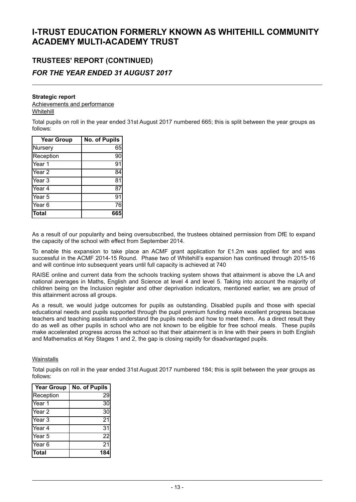### **TRUSTEES' REPORT (CONTINUED)**

### *FOR THE YEAR ENDED 31 AUGUST 2017*

#### **Strategic report**

Achievements and performance **Whitehill** 

Total pupils on roll in the year ended 31st August 2017 numbered 665; this is split between the year groups as follows:

| <b>Year Group</b> | No. of Pupils |
|-------------------|---------------|
| Nursery           | 65            |
| Reception         | 90            |
| Year 1            | 91            |
| Year <sub>2</sub> | 84            |
| Year 3            | 81            |
| Year <sub>4</sub> | 87            |
| Year <sub>5</sub> | 91            |
| Year 6            | 76            |
| <b>Total</b>      | 665           |

As a result of our popularity and being oversubscribed, the trustees obtained permission from DfE to expand the capacity of the school with effect from September 2014.

To enable this expansion to take place an ACMF grant application for £1.2m was applied for and was successful in the ACMF 2014-15 Round. Phase two of Whitehill's expansion has continued through 2015-16 and will continue into subsequent years until full capacity is achieved at 740

RAISE online and current data from the schools tracking system shows that attainment is above the LA and national averages in Maths, English and Science at level 4 and level 5. Taking into account the majority of children being on the Inclusion register and other deprivation indicators, mentioned earlier, we are proud of this attainment across all groups.

As a result, we would judge outcomes for pupils as outstanding. Disabled pupils and those with special educational needs and pupils supported through the pupil premium funding make excellent progress because teachers and teaching assistants understand the pupils needs and how to meet them. As a direct result they do as well as other pupils in school who are not known to be eligible for free school meals. These pupils make accelerated progress across the school so that their attainment is in line with their peers in both English and Mathematics at Key Stages 1 and 2, the gap is closing rapidly for disadvantaged pupils.

#### **Wainstalls**

Total pupils on roll in the year ended 31st August 2017 numbered 184; this is split between the year groups as follows:

| <b>Year Group</b> | <b>No. of Pupils</b> |
|-------------------|----------------------|
| Reception         | 29                   |
| TYear 1           | 30                   |
| Year <sub>2</sub> | $\overline{30}$      |
| Year 3            | 21                   |
| Year 4            | $\overline{3}1$      |
| Year 5            | $\overline{22}$      |
| TYear 6           | 21                   |
| Total             | 184                  |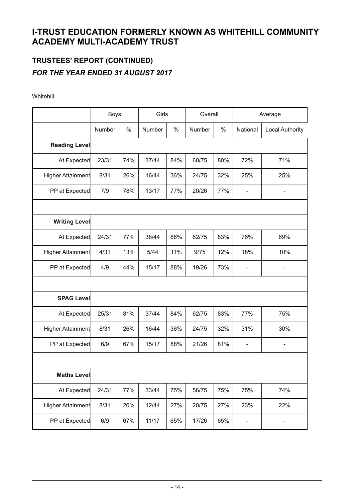### **TRUSTEES' REPORT (CONTINUED)** *FOR THE YEAR ENDED 31 AUGUST 2017*

#### Whitehill

|                          | <b>Boys</b> |      | Girls  |      | Overall |      | Average                      |                        |
|--------------------------|-------------|------|--------|------|---------|------|------------------------------|------------------------|
|                          | Number      | $\%$ | Number | $\%$ | Number  | $\%$ | National                     | <b>Local Authority</b> |
| <b>Reading Level</b>     |             |      |        |      |         |      |                              |                        |
| At Expected              | 23/31       | 74%  | 37/44  | 84%  | 60/75   | 80%  | 72%                          | 71%                    |
| <b>Higher Attainment</b> | 8/31        | 26%  | 16/44  | 36%  | 24/75   | 32%  | 25%                          | 25%                    |
| PP at Expected           | 7/9         | 78%  | 13/17  | 77%  | 20/26   | 77%  | $\overline{\phantom{0}}$     |                        |
|                          |             |      |        |      |         |      |                              |                        |
| <b>Writing Level</b>     |             |      |        |      |         |      |                              |                        |
| At Expected              | 24/31       | 77%  | 38/44  | 86%  | 62/75   | 83%  | 76%                          | 69%                    |
| <b>Higher Attainment</b> | 4/31        | 13%  | 5/44   | 11%  | 9/75    | 12%  | 18%                          | 10%                    |
| PP at Expected           | 4/9         | 44%  | 15/17  | 88%  | 19/26   | 73%  | $\qquad \qquad \blacksquare$ |                        |
|                          |             |      |        |      |         |      |                              |                        |
| <b>SPAG Level</b>        |             |      |        |      |         |      |                              |                        |
| At Expected              | 25/31       | 81%  | 37/44  | 84%  | 62/75   | 83%  | 77%                          | 75%                    |
| <b>Higher Attainment</b> | 8/31        | 26%  | 16/44  | 36%  | 24/75   | 32%  | 31%                          | 30%                    |
| PP at Expected           | 6/9         | 67%  | 15/17  | 88%  | 21/26   | 81%  | L,                           |                        |
|                          |             |      |        |      |         |      |                              |                        |
| <b>Maths Level</b>       |             |      |        |      |         |      |                              |                        |
| At Expected              | 24/31       | 77%  | 33/44  | 75%  | 56/75   | 75%  | 75%                          | 74%                    |
| <b>Higher Attainment</b> | 8/31        | 26%  | 12/44  | 27%  | 20/75   | 27%  | 23%                          | 22%                    |
| PP at Expected           | 6/9         | 67%  | 11/17  | 65%  | 17/26   | 65%  | -                            | -                      |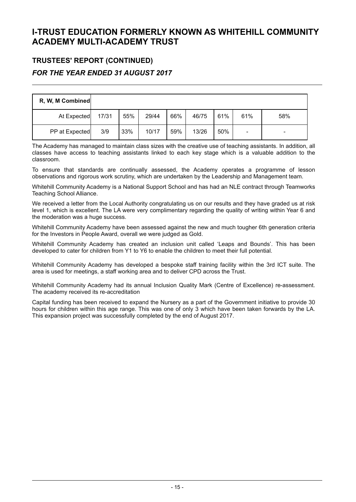## **TRUSTEES' REPORT (CONTINUED)**

### *FOR THE YEAR ENDED 31 AUGUST 2017*

| R, W, M Combined |       |     |       |     |       |     |     |     |
|------------------|-------|-----|-------|-----|-------|-----|-----|-----|
| At Expected      | 17/31 | 55% | 29/44 | 66% | 46/75 | 61% | 61% | 58% |
| PP at Expected   | 3/9   | 33% | 10/17 | 59% | 13/26 | 50% | -   | -   |

The Academy has managed to maintain class sizes with the creative use of teaching assistants. In addition, all classes have access to teaching assistants linked to each key stage which is a valuable addition to the classroom.

To ensure that standards are continually assessed, the Academy operates a programme of lesson observations and rigorous work scrutiny, which are undertaken by the Leadership and Management team.

Whitehill Community Academy is a National Support School and has had an NLE contract through Teamworks Teaching School Alliance.

We received a letter from the Local Authority congratulating us on our results and they have graded us at risk level 1, which is excellent. The LA were very complimentary regarding the quality of writing within Year 6 and the moderation was a huge success.

Whitehill Community Academy have been assessed against the new and much tougher 6th generation criteria for the Investors in People Award, overall we were judged as Gold.

Whitehill Community Academy has created an inclusion unit called 'Leaps and Bounds'. This has been developed to cater for children from Y1 to Y6 to enable the children to meet their full potential.

Whitehill Community Academy has developed a bespoke staff training facility within the 3rd ICT suite. The area is used for meetings, a staff working area and to deliver CPD across the Trust.

Whitehill Community Academy had its annual Inclusion Quality Mark (Centre of Excellence) re-assessment. The academy received its re-accreditation

Capital funding has been received to expand the Nursery as a part of the Government initiative to provide 30 hours for children within this age range. This was one of only 3 which have been taken forwards by the LA. This expansion project was successfully completed by the end of August 2017.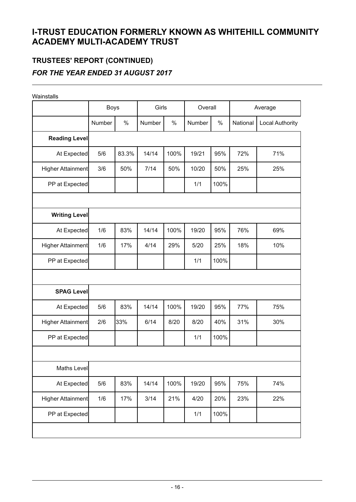## **TRUSTEES' REPORT (CONTINUED)** *FOR THE YEAR ENDED 31 AUGUST 2017*

| Wainstalls           |             |       |        |      |         |      |          |                        |
|----------------------|-------------|-------|--------|------|---------|------|----------|------------------------|
|                      | <b>Boys</b> |       | Girls  |      | Overall |      | Average  |                        |
|                      | Number      | $\%$  | Number | $\%$ | Number  | $\%$ | National | <b>Local Authority</b> |
| <b>Reading Level</b> |             |       |        |      |         |      |          |                        |
| At Expected          | 5/6         | 83.3% | 14/14  | 100% | 19/21   | 95%  | 72%      | 71%                    |
| Higher Attainment    | 3/6         | 50%   | 7/14   | 50%  | 10/20   | 50%  | 25%      | 25%                    |
| PP at Expected       |             |       |        |      | 1/1     | 100% |          |                        |
|                      |             |       |        |      |         |      |          |                        |
| <b>Writing Level</b> |             |       |        |      |         |      |          |                        |
| At Expected          | 1/6         | 83%   | 14/14  | 100% | 19/20   | 95%  | 76%      | 69%                    |
| Higher Attainment    | 1/6         | 17%   | 4/14   | 29%  | 5/20    | 25%  | 18%      | 10%                    |
| PP at Expected       |             |       |        |      | 1/1     | 100% |          |                        |
|                      |             |       |        |      |         |      |          |                        |
| <b>SPAG Level</b>    |             |       |        |      |         |      |          |                        |
| At Expected          | 5/6         | 83%   | 14/14  | 100% | 19/20   | 95%  | 77%      | 75%                    |
| Higher Attainment    | 2/6         | 33%   | 6/14   | 8/20 | 8/20    | 40%  | 31%      | 30%                    |
| PP at Expected       |             |       |        |      | 1/1     | 100% |          |                        |
|                      |             |       |        |      |         |      |          |                        |
| Maths Level          |             |       |        |      |         |      |          |                        |
| At Expected          | 5/6         | 83%   | 14/14  | 100% | 19/20   | 95%  | 75%      | 74%                    |
| Higher Attainment    | 1/6         | 17%   | 3/14   | 21%  | 4/20    | 20%  | 23%      | 22%                    |
| PP at Expected       |             |       |        |      | 1/1     | 100% |          |                        |
|                      |             |       |        |      |         |      |          |                        |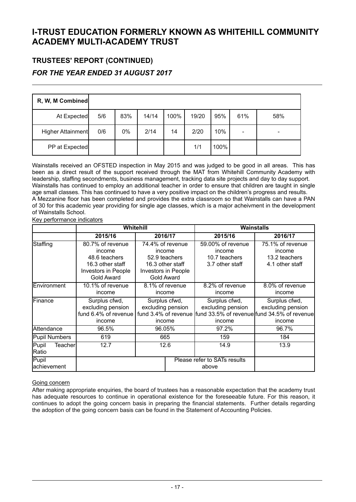# **TRUSTEES' REPORT (CONTINUED)**

### *FOR THE YEAR ENDED 31 AUGUST 2017*

| R, W, M Combined  |     |       |       |      |       |      |                          |                          |
|-------------------|-----|-------|-------|------|-------|------|--------------------------|--------------------------|
| At Expected       | 5/6 | 83%   | 14/14 | 100% | 19/20 | 95%  | 61%                      | 58%                      |
| Higher Attainment | 0/6 | $0\%$ | 2/14  | 14   | 2/20  | 10%  | $\overline{\phantom{0}}$ | $\overline{\phantom{0}}$ |
| PP at Expected    |     |       |       |      | 1/1   | 100% |                          |                          |

Wainstalls received an OFSTED inspection in May 2015 and was judged to be good in all areas. This has been as a direct result of the support received through the MAT from Whitehill Community Academy with leadership, staffing secondments, business management, tracking data site projects and day to day support. Wainstalls has continued to employ an additional teacher in order to ensure that children are taught in single age small classes. This has continued to have a very positive impact on the children's progress and results. A Mezzanine floor has been completed and provides the extra classroom so that Wainstalls can have a PAN of 30 for this academic year providing for single age classes, which is a major acheivment in the development of Wainstalls School.

Key performance indicators

|                            |                                                                                                             | Whitehill                                                                                                   |  | <b>Wainstalls</b>                                                                                                |                                              |                                                                 |                                                                |
|----------------------------|-------------------------------------------------------------------------------------------------------------|-------------------------------------------------------------------------------------------------------------|--|------------------------------------------------------------------------------------------------------------------|----------------------------------------------|-----------------------------------------------------------------|----------------------------------------------------------------|
|                            | 2015/16                                                                                                     | 2016/17                                                                                                     |  | 2015/16                                                                                                          | 2016/17                                      |                                                                 |                                                                |
| Staffing                   | 80.7% of revenue<br>income<br>48.6 teachers<br>16.3 other staff<br><b>Investors in People</b><br>Gold Award | 74.4% of revenue<br>income<br>52.9 teachers<br>16.3 other staff<br><b>Investors in People</b><br>Gold Award |  |                                                                                                                  |                                              | 59.00% of revenue<br>income<br>10.7 teachers<br>3.7 other staff | 75.1% of revenue<br>income<br>13.2 teachers<br>4.1 other staff |
| Environment                | 10.1% of revenue<br>income                                                                                  | 8.1% of revenue<br>income                                                                                   |  |                                                                                                                  |                                              | 8.2% of revenue<br>income                                       | 8.0% of revenue<br>income                                      |
| Finance                    | Surplus cfwd,<br>excluding pension<br>fund 6.4% of revenue<br>income                                        | Surplus cfwd,<br>excluding pension<br>income                                                                |  | Surplus cfwd,<br>excluding pension<br>fund 3.4% of revenue fund 33.5% of revenue fund 34.5% of revenue<br>income | Surplus cfwd,<br>excluding pension<br>income |                                                                 |                                                                |
| Attendance                 | 96.5%                                                                                                       | 96.05%                                                                                                      |  | 97.2%                                                                                                            | 96.7%                                        |                                                                 |                                                                |
| Pupil Numbers              | 619                                                                                                         | 665                                                                                                         |  | 159                                                                                                              | 184                                          |                                                                 |                                                                |
| Pupil<br>Teacherl<br>Ratio | 12.7                                                                                                        | 12.6                                                                                                        |  | 14.9                                                                                                             | 13.9                                         |                                                                 |                                                                |
| Pupil<br>achievement       |                                                                                                             |                                                                                                             |  | Please refer to SATs results<br>above                                                                            |                                              |                                                                 |                                                                |

#### Going concern

After making appropriate enquiries, the board of trustees has a reasonable expectation that the academy trust has adequate resources to continue in operational existence for the foreseeable future. For this reason, it continues to adopt the going concern basis in preparing the financial statements. Further details regarding the adoption of the going concern basis can be found in the Statement of Accounting Policies.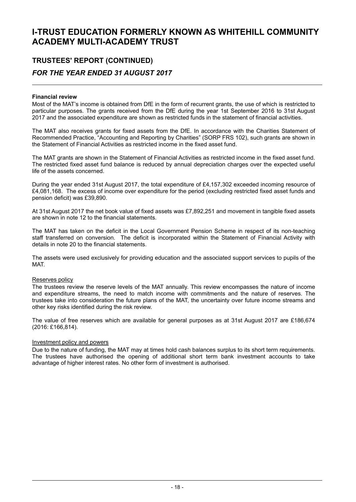### **TRUSTEES' REPORT (CONTINUED)** *FOR THE YEAR ENDED 31 AUGUST 2017*

#### **Financial review**

Most of the MAT's income is obtained from DfE in the form of recurrent grants, the use of which is restricted to particular purposes*.* The grants received from the DfE during the year 1st September 2016 to 31st August 2017 and the associated expenditure are shown as restricted funds in the statement of financial activities.

The MAT also receives grants for fixed assets from the DfE. In accordance with the Charities Statement of Recommended Practice, "Accounting and Reporting by Charities" (SORP FRS 102), such grants are shown in the Statement of Financial Activities as restricted income in the fixed asset fund.

The MAT grants are shown in the Statement of Financial Activities as restricted income in the fixed asset fund. The restricted fixed asset fund balance is reduced by annual depreciation charges over the expected useful life of the assets concerned.

During the year ended 31st August 2017, the total expenditure of £4,157,302 exceeded incoming resource of £4,081,168. The excess of income over expenditure for the period (excluding restricted fixed asset funds and pension deficit) was £39,890.

At 31st August 2017 the net book value of fixed assets was £7,892,251 and movement in tangible fixed assets are shown in note 12 to the financial statements.

The MAT has taken on the deficit in the Local Government Pension Scheme in respect of its non-teaching staff transferred on conversion. The deficit is incorporated within the Statement of Financial Activity with details in note 20 to the financial statements.

The assets were used exclusively for providing education and the associated support services to pupils of the MAT.

#### Reserves policy

The trustees review the reserve levels of the MAT annually. This review encompasses the nature of income and expenditure streams, the need to match income with commitments and the nature of reserves. The trustees take into consideration the future plans of the MAT, the uncertainty over future income streams and other key risks identified during the risk review.

The value of free reserves which are available for general purposes as at 31st August 2017 are £186,674 (2016: £166,814).

#### Investment policy and powers

Due to the nature of funding, the MAT may at times hold cash balances surplus to its short term requirements. The trustees have authorised the opening of additional short term bank investment accounts to take advantage of higher interest rates. No other form of investment is authorised.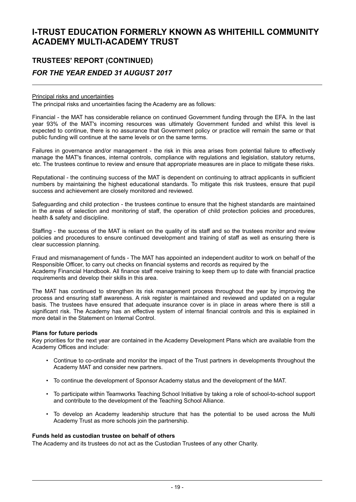### **TRUSTEES' REPORT (CONTINUED)** *FOR THE YEAR ENDED 31 AUGUST 2017*

#### Principal risks and uncertainties

The principal risks and uncertainties facing the Academy are as follows:

Financial - the MAT has considerable reliance on continued Government funding through the EFA. In the last year 93% of the MAT's incoming resources was ultimately Government funded and whilst this level is expected to continue, there is no assurance that Government policy or practice will remain the same or that public funding will continue at the same levels or on the same terms.

Failures in governance and/or management - the risk in this area arises from potential failure to effectively manage the MAT's finances, internal controls, compliance with regulations and legislation, statutory returns, etc. The trustees continue to review and ensure that appropriate measures are in place to mitigate these risks.

Reputational - the continuing success of the MAT is dependent on continuing to attract applicants in sufficient numbers by maintaining the highest educational standards. To mitigate this risk trustees, ensure that pupil success and achievement are closely monitored and reviewed.

Safeguarding and child protection - the trustees continue to ensure that the highest standards are maintained in the areas of selection and monitoring of staff, the operation of child protection policies and procedures, health & safety and discipline.

Staffing - the success of the MAT is reliant on the quality of its staff and so the trustees monitor and review policies and procedures to ensure continued development and training of staff as well as ensuring there is clear succession planning.

Fraud and mismanagement of funds - The MAT has appointed an independent auditor to work on behalf of the Responsible Officer, to carry out checks on financial systems and records as required by the Academy Financial Handbook. All finance staff receive training to keep them up to date with financial practice requirements and develop their skills in this area.

The MAT has continued to strengthen its risk management process throughout the year by improving the process and ensuring staff awareness. A risk register is maintained and reviewed and updated on a regular basis. The trustees have ensured that adequate insurance cover is in place in areas where there is still a significant risk. The Academy has an effective system of internal financial controls and this is explained in more detail in the Statement on Internal Control.

#### **Plans for future periods**

Key priorities for the next year are contained in the Academy Development Plans which are available from the Academy Offices and include:

- Continue to co-ordinate and monitor the impact of the Trust partners in developments throughout the Academy MAT and consider new partners.
- To continue the development of Sponsor Academy status and the development of the MAT.
- To participate within Teamworks Teaching School Initiative by taking a role of school-to-school support and contribute to the development of the Teaching School Alliance.
- To develop an Academy leadership structure that has the potential to be used across the Multi Academy Trust as more schools join the partnership.

#### **Funds held as custodian trustee on behalf of others**

The Academy and its trustees do not act as the Custodian Trustees of any other Charity.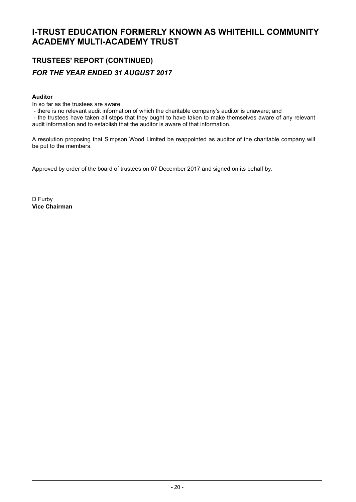### **TRUSTEES' REPORT (CONTINUED)** *FOR THE YEAR ENDED 31 AUGUST 2017*

#### **Auditor**

In so far as the trustees are aware:

- there is no relevant audit information of which the charitable company's auditor is unaware; and

- the trustees have taken all steps that they ought to have taken to make themselves aware of any relevant audit information and to establish that the auditor is aware of that information.

A resolution proposing that Simpson Wood Limited be reappointed as auditor of the charitable company will be put to the members.

Approved by order of the board of trustees on 07 December 2017 and signed on its behalf by:

D Furby **Vice Chairman**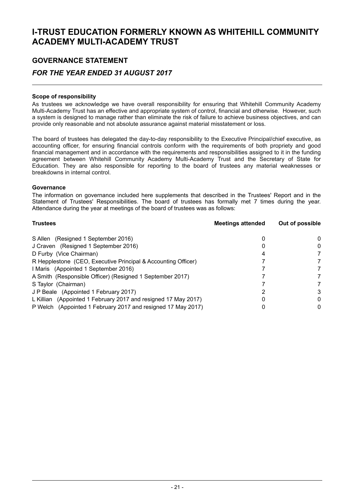### **GOVERNANCE STATEMENT**

#### *FOR THE YEAR ENDED 31 AUGUST 2017*

#### **Scope of responsibility**

As trustees we acknowledge we have overall responsibility for ensuring that Whitehill Community Academy Multi-Academy Trust has an effective and appropriate system of control, financial and otherwise. However, such a system is designed to manage rather than eliminate the risk of failure to achieve business objectives, and can provide only reasonable and not absolute assurance against material misstatement or loss.

The board of trustees has delegated the day-to-day responsibility to the Executive Principal/chief executive, as accounting officer, for ensuring financial controls conform with the requirements of both propriety and good financial management and in accordance with the requirements and responsibilities assigned to it in the funding agreement between Whitehill Community Academy Multi-Academy Trust and the Secretary of State for Education. They are also responsible for reporting to the board of trustees any material weaknesses or breakdowns in internal control.

#### **Governance**

The information on governance included here supplements that described in the Trustees' Report and in the Statement of Trustees' Responsibilities. The board of trustees has formally met 7 times during the year. Attendance during the year at meetings of the board of trustees was as follows:

| <b>Trustees</b>                                                | <b>Meetings attended</b> | Out of possible |
|----------------------------------------------------------------|--------------------------|-----------------|
| S Allen (Resigned 1 September 2016)                            |                          | 0               |
| J Craven (Resigned 1 September 2016)                           |                          | 0               |
| D Furby (Vice Chairman)                                        |                          |                 |
| R Hepplestone (CEO, Executive Principal & Accounting Officer)  |                          |                 |
| I Maris (Appointed 1 September 2016)                           |                          |                 |
| A Smith (Responsible Officer) (Resigned 1 September 2017)      |                          |                 |
| S Taylor (Chairman)                                            |                          |                 |
| J P Beale (Appointed 1 February 2017)                          |                          | 3               |
| L Killian (Appointed 1 February 2017 and resigned 17 May 2017) |                          | 0               |
| P Welch (Appointed 1 February 2017 and resigned 17 May 2017)   |                          | 0               |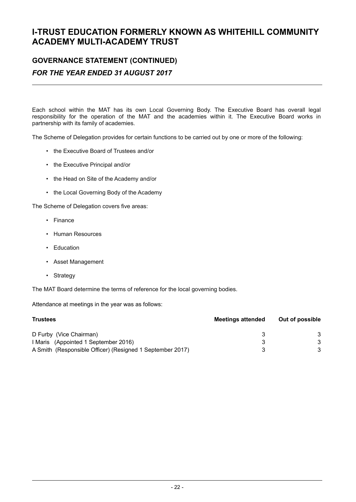### **GOVERNANCE STATEMENT (CONTINUED)** *FOR THE YEAR ENDED 31 AUGUST 2017*

Each school within the MAT has its own Local Governing Body. The Executive Board has overall legal responsibility for the operation of the MAT and the academies within it. The Executive Board works in partnership with its family of academies.

The Scheme of Delegation provides for certain functions to be carried out by one or more of the following:

- the Executive Board of Trustees and/or
- the Executive Principal and/or
- the Head on Site of the Academy and/or
- the Local Governing Body of the Academy

The Scheme of Delegation covers five areas:

- Finance
- Human Resources
- Education
- Asset Management
- Strategy

The MAT Board determine the terms of reference for the local governing bodies.

Attendance at meetings in the year was as follows:

| <b>Trustees</b>                                           | <b>Meetings attended</b> | Out of possible |  |
|-----------------------------------------------------------|--------------------------|-----------------|--|
| D Furby (Vice Chairman)                                   |                          |                 |  |
| I Maris (Appointed 1 September 2016)                      |                          |                 |  |
| A Smith (Responsible Officer) (Resigned 1 September 2017) |                          |                 |  |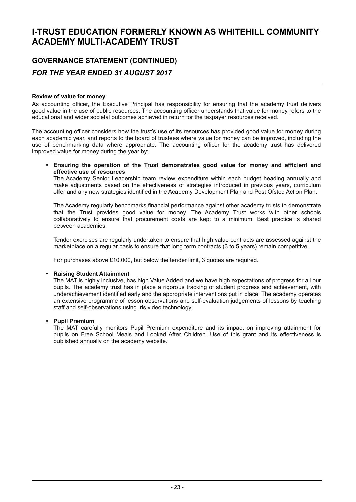### **GOVERNANCE STATEMENT (CONTINUED)** *FOR THE YEAR ENDED 31 AUGUST 2017*

#### **Review of value for money**

As accounting officer, the Executive Principal has responsibility for ensuring that the academy trust delivers good value in the use of public resources. The accounting officer understands that value for money refers to the educational and wider societal outcomes achieved in return for the taxpayer resources received.

The accounting officer considers how the trust's use of its resources has provided good value for money during each academic year, and reports to the board of trustees where value for money can be improved, including the use of benchmarking data where appropriate. The accounting officer for the academy trust has delivered improved value for money during the year by:

**• Ensuring the operation of the Trust demonstrates good value for money and efficient and effective use of resources**

The Academy Senior Leadership team review expenditure within each budget heading annually and make adjustments based on the effectiveness of strategies introduced in previous years, curriculum offer and any new strategies identified in the Academy Development Plan and Post Ofsted Action Plan.

The Academy regularly benchmarks financial performance against other academy trusts to demonstrate that the Trust provides good value for money. The Academy Trust works with other schools collaboratively to ensure that procurement costs are kept to a minimum. Best practice is shared between academies.

Tender exercises are regularly undertaken to ensure that high value contracts are assessed against the marketplace on a regular basis to ensure that long term contracts (3 to 5 years) remain competitive.

For purchases above £10,000, but below the tender limit, 3 quotes are required.

#### **• Raising Student Attainment**

The MAT is highly inclusive, has high Value Added and we have high expectations of progress for all our pupils. The academy trust has in place a rigorous tracking of student progress and achievement, with underachievement identified early and the appropriate interventions put in place. The academy operates an extensive programme of lesson observations and self-evaluation judgements of lessons by teaching staff and self-observations using Iris video technology.

#### **• Pupil Premium**

The MAT carefully monitors Pupil Premium expenditure and its impact on improving attainment for pupils on Free School Meals and Looked After Children. Use of this grant and its effectiveness is published annually on the academy website.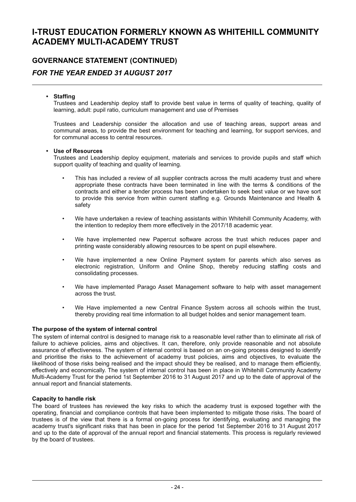### **GOVERNANCE STATEMENT (CONTINUED)** *FOR THE YEAR ENDED 31 AUGUST 2017*

#### **• Staffing**

Trustees and Leadership deploy staff to provide best value in terms of quality of teaching, quality of learning, adult: pupil ratio, curriculum management and use of Premises

Trustees and Leadership consider the allocation and use of teaching areas, support areas and communal areas, to provide the best environment for teaching and learning, for support services, and for communal access to central resources.

#### **• Use of Resources**

Trustees and Leadership deploy equipment, materials and services to provide pupils and staff which support quality of teaching and quality of learning.

- This has included a review of all supplier contracts across the multi academy trust and where appropriate these contracts have been terminated in line with the terms & conditions of the contracts and either a tender process has been undertaken to seek best value or we have sort to provide this service from within current staffing e.g. Grounds Maintenance and Health & safety
- We have undertaken a review of teaching assistants within Whitehill Community Academy, with the intention to redeploy them more effectively in the 2017/18 academic year.
- We have implemented new Papercut software across the trust which reduces paper and printing waste considerably allowing resources to be spent on pupil elsewhere.
- We have implemented a new Online Payment system for parents which also serves as electronic registration, Uniform and Online Shop, thereby reducing staffing costs and consolidating processes.
- We have implemented Parago Asset Management software to help with asset management across the trust.
- We Have implemented a new Central Finance System across all schools within the trust, thereby providing real time information to all budget holdes and senior management team.

#### **The purpose of the system of internal control**

The system of internal control is designed to manage risk to a reasonable level rather than to eliminate all risk of failure to achieve policies, aims and objectives. It can, therefore, only provide reasonable and not absolute assurance of effectiveness. The system of internal control is based on an on-going process designed to identify and prioritise the risks to the achievement of academy trust policies, aims and objectives, to evaluate the likelihood of those risks being realised and the impact should they be realised, and to manage them efficiently, effectively and economically. The system of internal control has been in place in Whitehill Community Academy Multi-Academy Trust for the period 1st September 2016 to 31 August 2017 and up to the date of approval of the annual report and financial statements.

#### **Capacity to handle risk**

The board of trustees has reviewed the key risks to which the academy trust is exposed together with the operating, financial and compliance controls that have been implemented to mitigate those risks. The board of trustees is of the view that there is a formal on-going process for identifying, evaluating and managing the academy trust's significant risks that has been in place for the period 1st September 2016 to 31 August 2017 and up to the date of approval of the annual report and financial statements. This process is regularly reviewed by the board of trustees.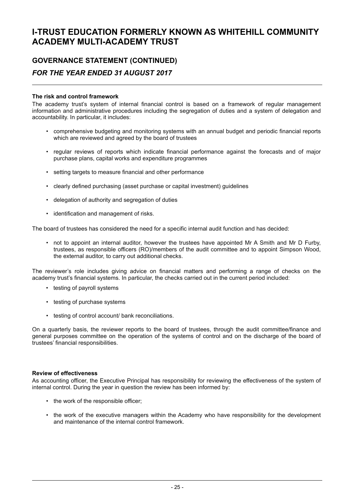## **GOVERNANCE STATEMENT (CONTINUED)**

### *FOR THE YEAR ENDED 31 AUGUST 2017*

#### **The risk and control framework**

The academy trust's system of internal financial control is based on a framework of regular management information and administrative procedures including the segregation of duties and a system of delegation and accountability. In particular, it includes:

- comprehensive budgeting and monitoring systems with an annual budget and periodic financial reports which are reviewed and agreed by the board of trustees
- regular reviews of reports which indicate financial performance against the forecasts and of major purchase plans, capital works and expenditure programmes
- setting targets to measure financial and other performance
- clearly defined purchasing (asset purchase or capital investment) guidelines
- delegation of authority and segregation of duties
- identification and management of risks.

The board of trustees has considered the need for a specific internal audit function and has decided:

• not to appoint an internal auditor, however the trustees have appointed Mr A Smith and Mr D Furby, trustees, as responsible officers (RO)/members of the audit committee and to appoint Simpson Wood, the external auditor, to carry out additional checks.

The reviewer's role includes giving advice on financial matters and performing a range of checks on the academy trust's financial systems. In particular, the checks carried out in the current period included:

- testing of payroll systems
- testing of purchase systems
- testing of control account/ bank reconciliations.

On a quarterly basis, the reviewer reports to the board of trustees, through the audit committee/finance and general purposes committee on the operation of the systems of control and on the discharge of the board of trustees' financial responsibilities.

#### **Review of effectiveness**

As accounting officer, the Executive Principal has responsibility for reviewing the effectiveness of the system of internal control. During the year in question the review has been informed by:

- the work of the responsible officer;
- the work of the executive managers within the Academy who have responsibility for the development and maintenance of the internal control framework.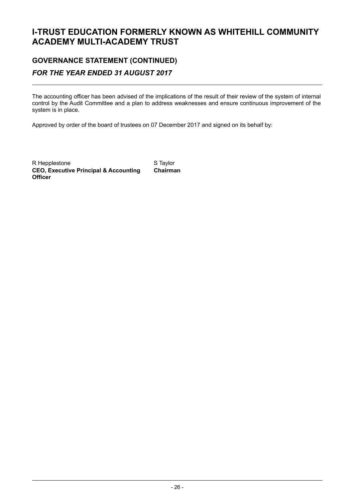### **GOVERNANCE STATEMENT (CONTINUED)** *FOR THE YEAR ENDED 31 AUGUST 2017*

The accounting officer has been advised of the implications of the result of their review of the system of internal control by the Audit Committee and a plan to address weaknesses and ensure continuous improvement of the system is in place.

Approved by order of the board of trustees on 07 December 2017 and signed on its behalf by:

R Hepplestone STaylor **CEO, Executive Principal & Accounting Officer Chairman**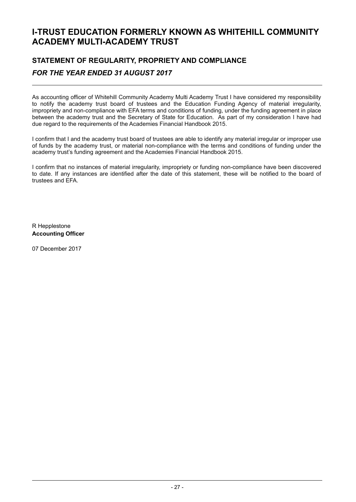### **STATEMENT OF REGULARITY, PROPRIETY AND COMPLIANCE** *FOR THE YEAR ENDED 31 AUGUST 2017*

As accounting officer of Whitehill Community Academy Multi Academy Trust I have considered my responsibility to notify the academy trust board of trustees and the Education Funding Agency of material irregularity, impropriety and non-compliance with EFA terms and conditions of funding, under the funding agreement in place between the academy trust and the Secretary of State for Education. As part of my consideration I have had due regard to the requirements of the Academies Financial Handbook 2015.

I confirm that I and the academy trust board of trustees are able to identify any material irregular or improper use of funds by the academy trust, or material non-compliance with the terms and conditions of funding under the academy trust's funding agreement and the Academies Financial Handbook 2015.

I confirm that no instances of material irregularity, impropriety or funding non-compliance have been discovered to date. If any instances are identified after the date of this statement, these will be notified to the board of trustees and EFA.

R Hepplestone **Accounting Officer**

07 December 2017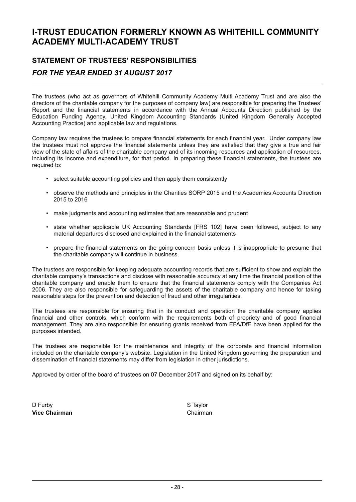### **STATEMENT OF TRUSTEES' RESPONSIBILITIES** *FOR THE YEAR ENDED 31 AUGUST 2017*

The trustees (who act as governors of Whitehill Community Academy Multi Academy Trust and are also the directors of the charitable company for the purposes of company law) are responsible for preparing the Trustees' Report and the financial statements in accordance with the Annual Accounts Direction published by the Education Funding Agency, United Kingdom Accounting Standards (United Kingdom Generally Accepted Accounting Practice) and applicable law and regulations.

Company law requires the trustees to prepare financial statements for each financial year. Under company law the trustees must not approve the financial statements unless they are satisfied that they give a true and fair view of the state of affairs of the charitable company and of its incoming resources and application of resources, including its income and expenditure, for that period. In preparing these financial statements, the trustees are required to:

- select suitable accounting policies and then apply them consistently
- observe the methods and principles in the Charities SORP 2015 and the Academies Accounts Direction 2015 to 2016
- make judgments and accounting estimates that are reasonable and prudent
- state whether applicable UK Accounting Standards [FRS 102] have been followed, subject to any material departures disclosed and explained in the financial statements
- prepare the financial statements on the going concern basis unless it is inappropriate to presume that the charitable company will continue in business.

The trustees are responsible for keeping adequate accounting records that are sufficient to show and explain the charitable company's transactions and disclose with reasonable accuracy at any time the financial position of the charitable company and enable them to ensure that the financial statements comply with the Companies Act 2006. They are also responsible for safeguarding the assets of the charitable company and hence for taking reasonable steps for the prevention and detection of fraud and other irregularities.

The trustees are responsible for ensuring that in its conduct and operation the charitable company applies financial and other controls, which conform with the requirements both of propriety and of good financial management. They are also responsible for ensuring grants received from EFA/DfE have been applied for the purposes intended.

The trustees are responsible for the maintenance and integrity of the corporate and financial information included on the charitable company's website. Legislation in the United Kingdom governing the preparation and dissemination of financial statements may differ from legislation in other jurisdictions.

Approved by order of the board of trustees on 07 December 2017 and signed on its behalf by:

D Furby Sample of the Second State of the Second State of State of State of State of State of State of State o **Vice Chairman** Chairman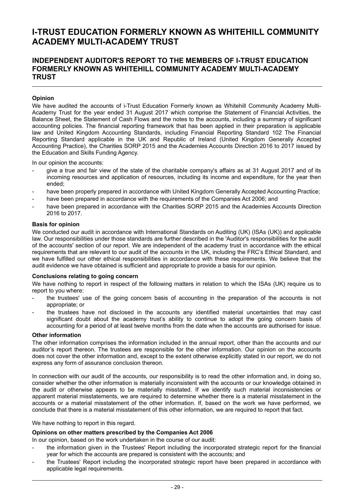#### **INDEPENDENT AUDITOR'S REPORT TO THE MEMBERS OF I-TRUST EDUCATION FORMERLY KNOWN AS WHITEHILL COMMUNITY ACADEMY MULTI-ACADEMY TRUST**

#### **Opinion**

We have audited the accounts of i-Trust Education Formerly known as Whitehill Community Academy Multi-Academy Trust for the year ended 31 August 2017 which comprise the Statement of Financial Activities, the Balance Sheet, the Statement of Cash Flows and the notes to the accounts, including a summary of significant accounting policies. The financial reporting framework that has been applied in their preparation is applicable law and United Kingdom Accounting Standards, including Financial Reporting Standard 102 The Financial Reporting Standard applicable in the UK and Republic of Ireland (United Kingdom Generally Accepted Accounting Practice), the Charities SORP 2015 and the Academies Accounts Direction 2016 to 2017 issued by the Education and Skills Funding Agency.

In our opinion the accounts:

- give a true and fair view of the state of the charitable company's affairs as at 31 August 2017 and of its incoming resources and application of resources, including its income and expenditure, for the year then ended;
- have been properly prepared in accordance with United Kingdom Generally Accepted Accounting Practice;
- have been prepared in accordance with the requirements of the Companies Act 2006; and
- have been prepared in accordance with the Charities SORP 2015 and the Academies Accounts Direction 2016 to 2017.

#### **Basis for opinion**

We conducted our audit in accordance with International Standards on Auditing (UK) (ISAs (UK)) and applicable law. Our responsibilities under those standards are further described in the 'Auditor's responsibilities for the audit of the accounts' section of our report. We are independent of the academy trust in accordance with the ethical requirements that are relevant to our audit of the accounts in the UK, including the FRC's Ethical Standard, and we have fulfilled our other ethical responsibilities in accordance with these requirements. We believe that the audit evidence we have obtained is sufficient and appropriate to provide a basis for our opinion.

#### **Conclusions relating to going concern**

We have nothing to report in respect of the following matters in relation to which the ISAs (UK) require us to report to you where:

- the trustees' use of the going concern basis of accounting in the preparation of the accounts is not appropriate; or
- the trustees have not disclosed in the accounts any identified material uncertainties that may cast significant doubt about the academy trust's ability to continue to adopt the going concern basis of accounting for a period of at least twelve months from the date when the accounts are authorised for issue.

#### **Other information**

The other information comprises the information included in the annual report, other than the accounts and our auditor's report thereon. The trustees are responsible for the other information. Our opinion on the accounts does not cover the other information and, except to the extent otherwise explicitly stated in our report, we do not express any form of assurance conclusion thereon.

In connection with our audit of the accounts, our responsibility is to read the other information and, in doing so, consider whether the other information is materially inconsistent with the accounts or our knowledge obtained in the audit or otherwise appears to be materially misstated. If we identify such material inconsistencies or apparent material misstatements, we are required to determine whether there is a material misstatement in the accounts or a material misstatement of the other information. If, based on the work we have performed, we conclude that there is a material misstatement of this other information, we are required to report that fact.

We have nothing to report in this regard.

#### **Opinions on other matters prescribed by the Companies Act 2006**

In our opinion, based on the work undertaken in the course of our audit:

- the information given in the Trustees' Report including the incorporated strategic report for the financial year for which the accounts are prepared is consistent with the accounts; and
- the Trustees' Report including the incorporated strategic report have been prepared in accordance with applicable legal requirements.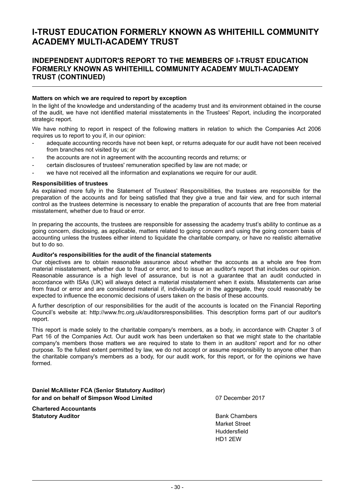#### **INDEPENDENT AUDITOR'S REPORT TO THE MEMBERS OF I-TRUST EDUCATION FORMERLY KNOWN AS WHITEHILL COMMUNITY ACADEMY MULTI-ACADEMY TRUST (CONTINUED)**

#### **Matters on which we are required to report by exception**

In the light of the knowledge and understanding of the academy trust and its environment obtained in the course of the audit, we have not identified material misstatements in the Trustees' Report, including the incorporated strategic report.

We have nothing to report in respect of the following matters in relation to which the Companies Act 2006 requires us to report to you if, in our opinion:

- adequate accounting records have not been kept, or returns adequate for our audit have not been received from branches not visited by us; or
- the accounts are not in agreement with the accounting records and returns; or
- certain disclosures of trustees' remuneration specified by law are not made; or
- we have not received all the information and explanations we require for our audit.

#### **Responsibilities of trustees**

As explained more fully in the Statement of Trustees' Responsibilities, the trustees are responsible for the preparation of the accounts and for being satisfied that they give a true and fair view, and for such internal control as the trustees determine is necessary to enable the preparation of accounts that are free from material misstatement, whether due to fraud or error.

In preparing the accounts, the trustees are responsible for assessing the academy trust's ability to continue as a going concern, disclosing, as applicable, matters related to going concern and using the going concern basis of accounting unless the trustees either intend to liquidate the charitable company, or have no realistic alternative but to do so.

#### **Auditor's responsibilities for the audit of the financial statements**

Our objectives are to obtain reasonable assurance about whether the accounts as a whole are free from material misstatement, whether due to fraud or error, and to issue an auditor's report that includes our opinion. Reasonable assurance is a high level of assurance, but is not a guarantee that an audit conducted in accordance with ISAs (UK) will always detect a material misstatement when it exists. Misstatements can arise from fraud or error and are considered material if, individually or in the aggregate, they could reasonably be expected to influence the economic decisions of users taken on the basis of these accounts.

A further description of our responsibilities for the audit of the accounts is located on the Financial Reporting Council's website at: http://www.frc.org.uk/auditorsresponsibilities. This description forms part of our auditor's report.

This report is made solely to the charitable company's members, as a body, in accordance with Chapter 3 of Part 16 of the Companies Act. Our audit work has been undertaken so that we might state to the charitable company's members those matters we are required to state to them in an auditors' report and for no other purpose. To the fullest extent permitted by law, we do not accept or assume responsibility to anyone other than the charitable company's members as a body, for our audit work, for this report, or for the opinions we have formed.

**Daniel McAllister FCA (Senior Statutory Auditor) for and on behalf of Simpson Wood Limited** 07 December 2017

**Chartered Accountants Statutory Auditor Bank Chambers Bank Chambers Bank Chambers** 

Market Street Huddersfield HD1 2EW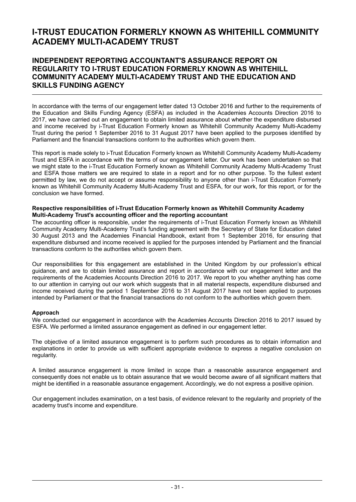#### **INDEPENDENT REPORTING ACCOUNTANT'S ASSURANCE REPORT ON REGULARITY TO I-TRUST EDUCATION FORMERLY KNOWN AS WHITEHILL COMMUNITY ACADEMY MULTI-ACADEMY TRUST AND THE EDUCATION AND SKILLS FUNDING AGENCY**

In accordance with the terms of our engagement letter dated 13 October 2016 and further to the requirements of the Education and Skills Funding Agency (ESFA) as included in the Academies Accounts Direction 2016 to 2017, we have carried out an engagement to obtain limited assurance about whether the expenditure disbursed and income received by i-Trust Education Formerly known as Whitehill Community Academy Multi-Academy Trust during the period 1 September 2016 to 31 August 2017 have been applied to the purposes identified by Parliament and the financial transactions conform to the authorities which govern them.

This report is made solely to i-Trust Education Formerly known as Whitehill Community Academy Multi-Academy Trust and ESFA in accordance with the terms of our engagement letter. Our work has been undertaken so that we might state to the i-Trust Education Formerly known as Whitehill Community Academy Multi-Academy Trust and ESFA those matters we are required to state in a report and for no other purpose. To the fullest extent permitted by law, we do not accept or assume responsibility to anyone other than i-Trust Education Formerly known as Whitehill Community Academy Multi-Academy Trust and ESFA, for our work, for this report, or for the conclusion we have formed.

#### **Respective responsibilities of i-Trust Education Formerly known as Whitehill Community Academy Multi-Academy Trust's accounting officer and the reporting accountant**

The accounting officer is responsible, under the requirements of i-Trust Education Formerly known as Whitehill Community Academy Multi-Academy Trust's funding agreement with the Secretary of State for Education dated 30 August 2013 and the Academies Financial Handbook, extant from 1 September 2016, for ensuring that expenditure disbursed and income received is applied for the purposes intended by Parliament and the financial transactions conform to the authorities which govern them.

Our responsibilities for this engagement are established in the United Kingdom by our profession's ethical guidance, and are to obtain limited assurance and report in accordance with our engagement letter and the requirements of the Academies Accounts Direction 2016 to 2017. We report to you whether anything has come to our attention in carrying out our work which suggests that in all material respects, expenditure disbursed and income received during the period 1 September 2016 to 31 August 2017 have not been applied to purposes intended by Parliament or that the financial transactions do not conform to the authorities which govern them.

#### **Approach**

We conducted our engagement in accordance with the Academies Accounts Direction 2016 to 2017 issued by ESFA. We performed a limited assurance engagement as defined in our engagement letter.

The objective of a limited assurance engagement is to perform such procedures as to obtain information and explanations in order to provide us with sufficient appropriate evidence to express a negative conclusion on regularity.

A limited assurance engagement is more limited in scope than a reasonable assurance engagement and consequently does not enable us to obtain assurance that we would become aware of all significant matters that might be identified in a reasonable assurance engagement. Accordingly, we do not express a positive opinion.

Our engagement includes examination, on a test basis, of evidence relevant to the regularity and propriety of the academy trust's income and expenditure.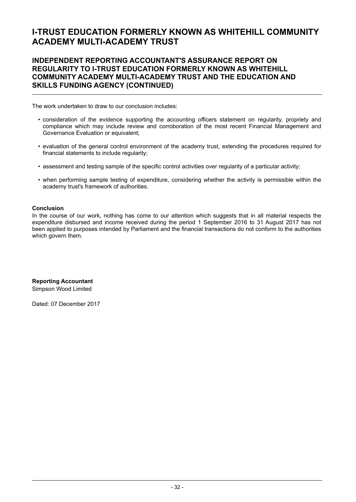#### **INDEPENDENT REPORTING ACCOUNTANT'S ASSURANCE REPORT ON REGULARITY TO I-TRUST EDUCATION FORMERLY KNOWN AS WHITEHILL COMMUNITY ACADEMY MULTI-ACADEMY TRUST AND THE EDUCATION AND SKILLS FUNDING AGENCY (CONTINUED)**

The work undertaken to draw to our conclusion includes:

- consideration of the evidence supporting the accounting officers statement on regularity, propriety and compliance which may include review and corroboration of the most recent Financial Management and Governance Evaluation or equivalent;
- evaluation of the general control environment of the academy trust, extending the procedures required for financial statements to include regularity;
- assessment and testing sample of the specific control activities over regularity of a particular activity;
- when performing sample testing of expenditure, considering whether the activity is permissible within the academy trust's framework of authorities.

#### **Conclusion**

In the course of our work, nothing has come to our attention which suggests that in all material respects the expenditure disbursed and income received during the period 1 September 2016 to 31 August 2017 has not been applied to purposes intended by Parliament and the financial transactions do not conform to the authorities which govern them.

**Reporting Accountant** Simpson Wood Limited

Dated: 07 December 2017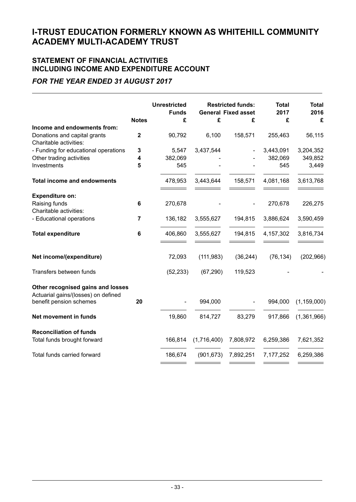### **STATEMENT OF FINANCIAL ACTIVITIES INCLUDING INCOME AND EXPENDITURE ACCOUNT**

*FOR THE YEAR ENDED 31 AUGUST 2017*

|                                                                                                     | <b>Notes</b>   | <b>Unrestricted</b><br><b>Funds</b><br>£ | £           | <b>Restricted funds:</b><br><b>General Fixed asset</b><br>£ | <b>Total</b><br>2017<br>£ | <b>Total</b><br>2016<br>£ |
|-----------------------------------------------------------------------------------------------------|----------------|------------------------------------------|-------------|-------------------------------------------------------------|---------------------------|---------------------------|
| Income and endowments from:                                                                         |                |                                          |             |                                                             |                           |                           |
| Donations and capital grants<br>Charitable activities:                                              | $\mathbf{2}$   | 90,792                                   | 6,100       | 158,571                                                     | 255,463                   | 56,115                    |
| - Funding for educational operations                                                                | 3              | 5,547                                    | 3,437,544   |                                                             | 3,443,091                 | 3,204,352                 |
| Other trading activities                                                                            | 4              | 382,069                                  |             |                                                             | 382,069                   | 349,852                   |
| Investments                                                                                         | 5              | 545                                      |             |                                                             | 545                       | 3,449                     |
| <b>Total income and endowments</b>                                                                  |                | 478,953                                  | 3,443,644   | 158,571                                                     | 4,081,168                 | 3,613,768                 |
| <b>Expenditure on:</b>                                                                              |                |                                          |             |                                                             |                           |                           |
| Raising funds<br>Charitable activities:                                                             | 6              | 270,678                                  |             |                                                             | 270,678                   | 226,275                   |
| - Educational operations                                                                            | $\overline{7}$ | 136,182                                  | 3,555,627   | 194,815                                                     | 3,886,624                 | 3,590,459                 |
| <b>Total expenditure</b>                                                                            | 6              | 406,860                                  | 3,555,627   | 194,815                                                     | 4,157,302                 | 3,816,734                 |
| Net income/(expenditure)                                                                            |                | 72,093                                   | (111, 983)  | (36, 244)                                                   | (76, 134)                 | (202, 966)                |
| Transfers between funds                                                                             |                | (52, 233)                                | (67, 290)   | 119,523                                                     |                           |                           |
| Other recognised gains and losses<br>Actuarial gains/(losses) on defined<br>benefit pension schemes | 20             |                                          | 994,000     |                                                             | 994,000                   | (1, 159, 000)             |
|                                                                                                     |                |                                          |             |                                                             |                           |                           |
| Net movement in funds                                                                               |                | 19,860                                   | 814,727     | 83,279                                                      | 917,866                   | (1,361,966)               |
| <b>Reconciliation of funds</b>                                                                      |                |                                          |             |                                                             |                           |                           |
| Total funds brought forward                                                                         |                | 166,814                                  | (1,716,400) | 7,808,972                                                   | 6,259,386                 | 7,621,352                 |
| Total funds carried forward                                                                         |                | 186,674                                  | (901, 673)  | 7,892,251                                                   | 7,177,252                 | 6,259,386                 |
|                                                                                                     |                |                                          |             |                                                             |                           |                           |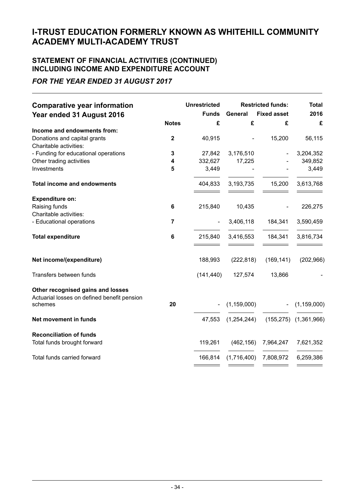### **STATEMENT OF FINANCIAL ACTIVITIES (CONTINUED) INCLUDING INCOME AND EXPENDITURE ACCOUNT**

#### *FOR THE YEAR ENDED 31 AUGUST 2017*

| <b>Comparative year information</b>                                                         |                | <b>Unrestricted</b> |               | <b>Restricted funds:</b> | <b>Total</b>              |
|---------------------------------------------------------------------------------------------|----------------|---------------------|---------------|--------------------------|---------------------------|
| Year ended 31 August 2016                                                                   |                | <b>Funds</b>        | General       | <b>Fixed asset</b>       | 2016                      |
|                                                                                             | <b>Notes</b>   | £                   | £             | £                        | £                         |
| Income and endowments from:                                                                 |                |                     |               |                          |                           |
| Donations and capital grants<br>Charitable activities:                                      | $\mathbf{2}$   | 40,915              |               | 15,200                   | 56,115                    |
| - Funding for educational operations                                                        | 3              | 27,842              | 3,176,510     |                          | 3,204,352                 |
| Other trading activities                                                                    | 4              | 332,627             | 17,225        |                          | 349,852                   |
| Investments                                                                                 | 5              | 3,449               |               |                          | 3,449                     |
| <b>Total income and endowments</b>                                                          |                | 404,833             | 3,193,735     | 15,200                   | 3,613,768                 |
| <b>Expenditure on:</b>                                                                      |                |                     |               |                          |                           |
| Raising funds                                                                               | 6              | 215,840             | 10,435        |                          | 226,275                   |
| Charitable activities:                                                                      |                |                     |               |                          |                           |
| - Educational operations                                                                    | $\overline{7}$ |                     | 3,406,118     | 184,341                  | 3,590,459                 |
| <b>Total expenditure</b>                                                                    | 6              | 215,840             | 3,416,553     | 184,341                  | 3,816,734                 |
| Net income/(expenditure)                                                                    |                | 188,993             | (222, 818)    | (169, 141)               | (202, 966)                |
| Transfers between funds                                                                     |                | (141, 440)          | 127,574       | 13,866                   |                           |
| Other recognised gains and losses<br>Actuarial losses on defined benefit pension<br>schemes | 20             |                     | (1, 159, 000) |                          | (1, 159, 000)             |
|                                                                                             |                |                     |               |                          |                           |
| Net movement in funds                                                                       |                | 47,553              | (1,254,244)   |                          | $(155,275)$ $(1,361,966)$ |
| <b>Reconciliation of funds</b><br>Total funds brought forward                               |                | 119,261             | (462, 156)    | 7,964,247                | 7,621,352                 |
| Total funds carried forward                                                                 |                | 166,814             | (1,716,400)   | 7,808,972                | 6,259,386                 |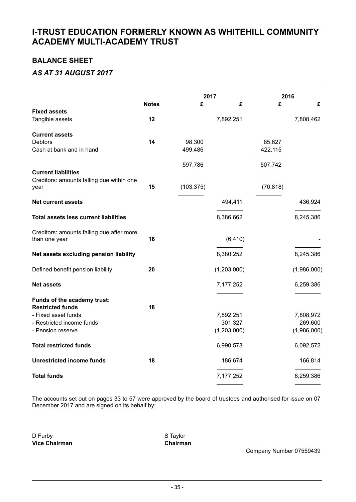### **BALANCE SHEET**

### *AS AT 31 AUGUST 2017*

|                                                   |              |            | 2017                 | 2016      |                      |
|---------------------------------------------------|--------------|------------|----------------------|-----------|----------------------|
|                                                   | <b>Notes</b> | £          | £                    | £         | £                    |
| <b>Fixed assets</b><br>Tangible assets            | 12           |            | 7,892,251            |           | 7,808,462            |
| <b>Current assets</b>                             |              |            |                      |           |                      |
| <b>Debtors</b>                                    | 14           | 98,300     |                      | 85,627    |                      |
| Cash at bank and in hand                          |              | 499,486    |                      | 422,115   |                      |
|                                                   |              | 597,786    |                      | 507,742   |                      |
| <b>Current liabilities</b>                        |              |            |                      |           |                      |
| Creditors: amounts falling due within one<br>year | 15           | (103, 375) |                      | (70, 818) |                      |
| <b>Net current assets</b>                         |              |            | 494,411              |           | 436,924              |
| <b>Total assets less current liabilities</b>      |              |            | 8,386,662            |           | 8,245,386            |
| Creditors: amounts falling due after more         |              |            |                      |           |                      |
| than one year                                     | 16           |            | (6, 410)             |           |                      |
| Net assets excluding pension liability            |              |            | 8,380,252            |           | 8,245,386            |
| Defined benefit pension liability                 | 20           |            | (1,203,000)          |           | (1,986,000)          |
| <b>Net assets</b>                                 |              |            | 7,177,252            |           | 6,259,386            |
|                                                   |              |            |                      |           |                      |
| Funds of the academy trust:                       |              |            |                      |           |                      |
| <b>Restricted funds</b>                           | 18           |            |                      |           |                      |
| - Fixed asset funds<br>- Restricted income funds  |              |            | 7,892,251<br>301,327 |           | 7,808,972<br>269,600 |
| - Pension reserve                                 |              |            | (1,203,000)          |           | (1,986,000)          |
| <b>Total restricted funds</b>                     |              |            | 6,990,578            |           | 6,092,572            |
| <b>Unrestricted income funds</b>                  | 18           |            | 186,674              |           | 166,814              |
| <b>Total funds</b>                                |              |            | 7,177,252            |           | 6,259,386            |
|                                                   |              |            |                      |           |                      |

The accounts set out on pages 33 to 57 were approved by the board of trustees and authorised for issue on 07 December 2017 and are signed on its behalf by:

D Furby S Taylor<br>
Vice Chairman 
S Taylor **Vice Chairman**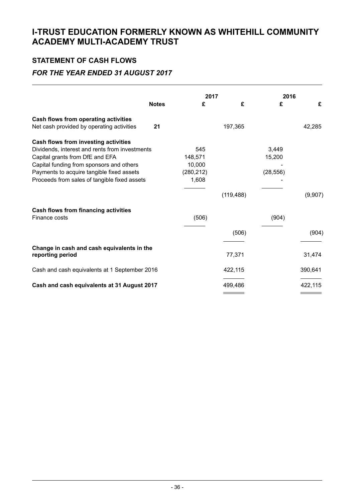# **STATEMENT OF CASH FLOWS**

### *FOR THE YEAR ENDED 31 AUGUST 2017*

|                                                |              | 2017       |            | 2016      |         |
|------------------------------------------------|--------------|------------|------------|-----------|---------|
|                                                | <b>Notes</b> | £          | £          | £         | £       |
| Cash flows from operating activities           |              |            |            |           |         |
| Net cash provided by operating activities      | 21           |            | 197,365    |           | 42,285  |
| Cash flows from investing activities           |              |            |            |           |         |
| Dividends, interest and rents from investments |              | 545        |            | 3,449     |         |
| Capital grants from DfE and EFA                |              | 148,571    |            | 15,200    |         |
| Capital funding from sponsors and others       |              | 10,000     |            |           |         |
| Payments to acquire tangible fixed assets      |              | (280, 212) |            | (28, 556) |         |
| Proceeds from sales of tangible fixed assets   |              | 1,608      |            |           |         |
|                                                |              |            |            |           |         |
|                                                |              |            | (119, 488) |           | (9,907) |
| Cash flows from financing activities           |              |            |            |           |         |
| Finance costs                                  |              | (506)      |            | (904)     |         |
|                                                |              |            |            |           |         |
|                                                |              |            | (506)      |           | (904)   |
|                                                |              |            |            |           |         |
| Change in cash and cash equivalents in the     |              |            |            |           |         |
| reporting period                               |              |            | 77,371     |           | 31,474  |
| Cash and cash equivalents at 1 September 2016  |              |            | 422,115    |           | 390,641 |
| Cash and cash equivalents at 31 August 2017    |              |            | 499,486    |           | 422,115 |
|                                                |              |            |            |           |         |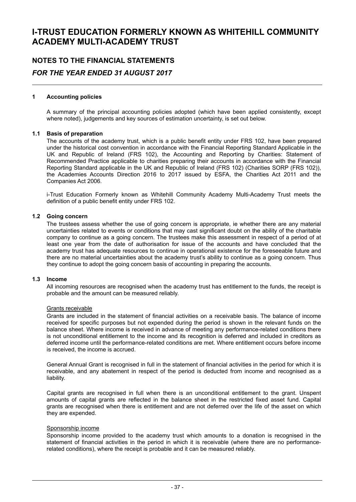### **NOTES TO THE FINANCIAL STATEMENTS** *FOR THE YEAR ENDED 31 AUGUST 2017*

#### **1 Accounting policies**

A summary of the principal accounting policies adopted (which have been applied consistently, except where noted), judgements and key sources of estimation uncertainty, is set out below.

#### **1.1 Basis of preparation**

The accounts of the academy trust, which is a public benefit entity under FRS 102, have been prepared under the historical cost convention in accordance with the Financial Reporting Standard Applicable in the UK and Republic of Ireland (FRS 102), the Accounting and Reporting by Charities: Statement of Recommended Practice applicable to charities preparing their accounts in accordance with the Financial Reporting Standard applicable in the UK and Republic of Ireland (FRS 102) (Charities SORP (FRS 102)), the Academies Accounts Direction 2016 to 2017 issued by ESFA, the Charities Act 2011 and the Companies Act 2006.

i-Trust Education Formerly known as Whitehill Community Academy Multi-Academy Trust meets the definition of a public benefit entity under FRS 102.

#### **1.2 Going concern**

The trustees assess whether the use of going concern is appropriate, ie whether there are any material uncertainties related to events or conditions that may cast significant doubt on the ability of the charitable company to continue as a going concern. The trustees make this assessment in respect of a period of at least one year from the date of authorisation for issue of the accounts and have concluded that the academy trust has adequate resources to continue in operational existence for the foreseeable future and there are no material uncertainties about the academy trust's ability to continue as a going concern. Thus they continue to adopt the going concern basis of accounting in preparing the accounts.

#### **1.3 Income**

All incoming resources are recognised when the academy trust has entitlement to the funds, the receipt is probable and the amount can be measured reliably.

#### Grants receivable

Grants are included in the statement of financial activities on a receivable basis. The balance of income received for specific purposes but not expended during the period is shown in the relevant funds on the balance sheet. Where income is received in advance of meeting any performance-related conditions there is not unconditional entitlement to the income and its recognition is deferred and included in creditors as deferred income until the performance-related conditions are met. Where entitlement occurs before income is received, the income is accrued.

General Annual Grant is recognised in full in the statement of financial activities in the period for which it is receivable, and any abatement in respect of the period is deducted from income and recognised as a liability.

Capital grants are recognised in full when there is an unconditional entitlement to the grant. Unspent amounts of capital grants are reflected in the balance sheet in the restricted fixed asset fund. Capital grants are recognised when there is entitlement and are not deferred over the life of the asset on which they are expended.

#### Sponsorship income

Sponsorship income provided to the academy trust which amounts to a donation is recognised in the statement of financial activities in the period in which it is receivable (where there are no performancerelated conditions), where the receipt is probable and it can be measured reliably.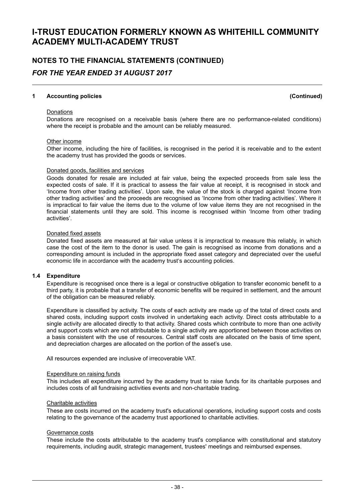### **NOTES TO THE FINANCIAL STATEMENTS (CONTINUED)** *FOR THE YEAR ENDED 31 AUGUST 2017*

#### **1 Accounting policies (Continued)**

#### Donations

Donations are recognised on a receivable basis (where there are no performance-related conditions) where the receipt is probable and the amount can be reliably measured.

#### Other income

Other income, including the hire of facilities, is recognised in the period it is receivable and to the extent the academy trust has provided the goods or services.

#### Donated goods, facilities and services

Goods donated for resale are included at fair value, being the expected proceeds from sale less the expected costs of sale. If it is practical to assess the fair value at receipt, it is recognised in stock and 'Income from other trading activities'. Upon sale, the value of the stock is charged against 'Income from other trading activities' and the proceeds are recognised as 'Income from other trading activities'. Where it is impractical to fair value the items due to the volume of low value items they are not recognised in the financial statements until they are sold. This income is recognised within 'Income from other trading activities'.

#### Donated fixed assets

Donated fixed assets are measured at fair value unless it is impractical to measure this reliably, in which case the cost of the item to the donor is used. The gain is recognised as income from donations and a corresponding amount is included in the appropriate fixed asset category and depreciated over the useful economic life in accordance with the academy trust's accounting policies.

#### **1.4 Expenditure**

Expenditure is recognised once there is a legal or constructive obligation to transfer economic benefit to a third party, it is probable that a transfer of economic benefits will be required in settlement, and the amount of the obligation can be measured reliably.

Expenditure is classified by activity. The costs of each activity are made up of the total of direct costs and shared costs, including support costs involved in undertaking each activity. Direct costs attributable to a single activity are allocated directly to that activity. Shared costs which contribute to more than one activity and support costs which are not attributable to a single activity are apportioned between those activities on a basis consistent with the use of resources. Central staff costs are allocated on the basis of time spent, and depreciation charges are allocated on the portion of the asset's use.

All resources expended are inclusive of irrecoverable VAT.

#### Expenditure on raising funds

This includes all expenditure incurred by the academy trust to raise funds for its charitable purposes and includes costs of all fundraising activities events and non-charitable trading.

#### Charitable activities

These are costs incurred on the academy trust's educational operations, including support costs and costs relating to the governance of the academy trust apportioned to charitable activities.

#### Governance costs

These include the costs attributable to the academy trust's compliance with constitutional and statutory requirements, including audit, strategic management, trustees' meetings and reimbursed expenses.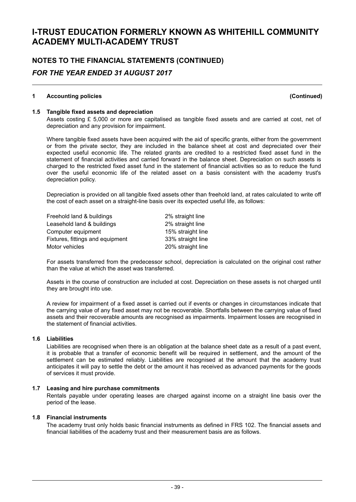### **NOTES TO THE FINANCIAL STATEMENTS (CONTINUED)** *FOR THE YEAR ENDED 31 AUGUST 2017*

#### **1 Accounting policies (Continued)**

#### **1.5 Tangible fixed assets and depreciation**

Assets costing £ 5,000 or more are capitalised as tangible fixed assets and are carried at cost, net of depreciation and any provision for impairment.

Where tangible fixed assets have been acquired with the aid of specific grants, either from the government or from the private sector, they are included in the balance sheet at cost and depreciated over their expected useful economic life. The related grants are credited to a restricted fixed asset fund in the statement of financial activities and carried forward in the balance sheet. Depreciation on such assets is charged to the restricted fixed asset fund in the statement of financial activities so as to reduce the fund over the useful economic life of the related asset on a basis consistent with the academy trust's depreciation policy.

Depreciation is provided on all tangible fixed assets other than freehold land, at rates calculated to write off the cost of each asset on a straight-line basis over its expected useful life, as follows:

| Freehold land & buildings        | 2% straight line  |
|----------------------------------|-------------------|
| Leasehold land & buildings       | 2% straight line  |
| Computer equipment               | 15% straight line |
| Fixtures, fittings and equipment | 33% straight line |
| Motor vehicles                   | 20% straight line |

For assets transferred from the predecessor school, depreciation is calculated on the original cost rather than the value at which the asset was transferred.

Assets in the course of construction are included at cost. Depreciation on these assets is not charged until they are brought into use.

A review for impairment of a fixed asset is carried out if events or changes in circumstances indicate that the carrying value of any fixed asset may not be recoverable. Shortfalls between the carrying value of fixed assets and their recoverable amounts are recognised as impairments. Impairment losses are recognised in the statement of financial activities.

#### **1.6 Liabilities**

Liabilities are recognised when there is an obligation at the balance sheet date as a result of a past event, it is probable that a transfer of economic benefit will be required in settlement, and the amount of the settlement can be estimated reliably. Liabilities are recognised at the amount that the academy trust anticipates it will pay to settle the debt or the amount it has received as advanced payments for the goods of services it must provide.

#### **1.7 Leasing and hire purchase commitments**

Rentals payable under operating leases are charged against income on a straight line basis over the period of the lease.

#### **1.8 Financial instruments**

The academy trust only holds basic financial instruments as defined in FRS 102. The financial assets and financial liabilities of the academy trust and their measurement basis are as follows.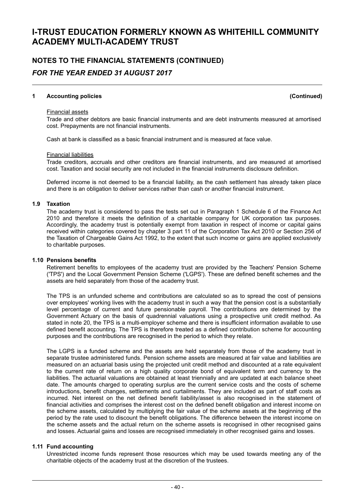### **NOTES TO THE FINANCIAL STATEMENTS (CONTINUED)** *FOR THE YEAR ENDED 31 AUGUST 2017*

#### **1 Accounting policies (Continued)**

#### Financial assets

Trade and other debtors are basic financial instruments and are debt instruments measured at amortised cost. Prepayments are not financial instruments.

Cash at bank is classified as a basic financial instrument and is measured at face value.

#### Financial liabilities

Trade creditors, accruals and other creditors are financial instruments, and are measured at amortised cost. Taxation and social security are not included in the financial instruments disclosure definition.

Deferred income is not deemed to be a financial liability, as the cash settlement has already taken place and there is an obligation to deliver services rather than cash or another financial instrument.

#### **1.9 Taxation**

The academy trust is considered to pass the tests set out in Paragraph 1 Schedule 6 of the Finance Act 2010 and therefore it meets the definition of a charitable company for UK corporation tax purposes. Accordingly, the academy trust is potentially exempt from taxation in respect of income or capital gains received within categories covered by chapter 3 part 11 of the Corporation Tax Act 2010 or Section 256 of the Taxation of Chargeable Gains Act 1992, to the extent that such income or gains are applied exclusively to charitable purposes.

#### **1.10 Pensions benefits**

Retirement benefits to employees of the academy trust are provided by the Teachers' Pension Scheme ('TPS') and the Local Government Pension Scheme ('LGPS'). These are defined benefit schemes and the assets are held separately from those of the academy trust.

The TPS is an unfunded scheme and contributions are calculated so as to spread the cost of pensions over employees' working lives with the academy trust in such a way that the pension cost is a substantially level percentage of current and future pensionable payroll. The contributions are determined by the Government Actuary on the basis of quadrennial valuations using a prospective unit credit method. As stated in note 20, the TPS is a multi-employer scheme and there is insufficient information available to use defined benefit accounting. The TPS is therefore treated as a defined contribution scheme for accounting purposes and the contributions are recognised in the period to which they relate.

The LGPS is a funded scheme and the assets are held separately from those of the academy trust in separate trustee administered funds. Pension scheme assets are measured at fair value and liabilities are measured on an actuarial basis using the projected unit credit method and discounted at a rate equivalent to the current rate of return on a high quality corporate bond of equivalent term and currency to the liabilities. The actuarial valuations are obtained at least triennially and are updated at each balance sheet date. The amounts charged to operating surplus are the current service costs and the costs of scheme introductions, benefit changes, settlements and curtailments. They are included as part of staff costs as incurred. Net interest on the net defined benefit liability/asset is also recognised in the statement of financial activities and comprises the interest cost on the defined benefit obligation and interest income on the scheme assets, calculated by multiplying the fair value of the scheme assets at the beginning of the period by the rate used to discount the benefit obligations. The difference between the interest income on the scheme assets and the actual return on the scheme assets is recognised in other recognised gains and losses. Actuarial gains and losses are recognised immediately in other recognised gains and losses.

#### **1.11 Fund accounting**

Unrestricted income funds represent those resources which may be used towards meeting any of the charitable objects of the academy trust at the discretion of the trustees.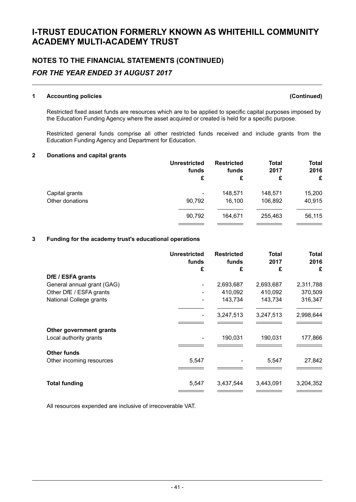### **NOTES TO THE FINANCIAL STATEMENTS (CONTINUED)** *FOR THE YEAR ENDED 31 AUGUST 2017*

#### **1 Accounting policies (Continued)**

Restricted fixed asset funds are resources which are to be applied to specific capital purposes imposed by the Education Funding Agency where the asset acquired or created is held for a specific purpose.

Restricted general funds comprise all other restricted funds received and include grants from the Education Funding Agency and Department for Education.

#### **2 Donations and capital grants**

|                 | <b>Unrestricted</b>      | <b>Restricted</b> | <b>Total</b> | <b>Total</b> |
|-----------------|--------------------------|-------------------|--------------|--------------|
|                 | funds                    | funds             | 2017         | 2016         |
|                 | £                        | £                 | £            | £            |
| Capital grants  | $\overline{\phantom{a}}$ | 148,571           | 148,571      | 15,200       |
| Other donations | 90,792                   | 16,100            | 106,892      | 40,915       |
|                 | 90,792                   | 164.671           | 255,463      | 56,115       |

#### **3 Funding for the academy trust's educational operations**

|                            | <b>Unrestricted</b><br>funds<br>£ | <b>Restricted</b><br>funds<br>£ | Total<br>2017<br>£ | <b>Total</b><br>2016<br>£ |
|----------------------------|-----------------------------------|---------------------------------|--------------------|---------------------------|
| DfE / ESFA grants          |                                   |                                 |                    |                           |
| General annual grant (GAG) | $\overline{\phantom{a}}$          | 2,693,687                       | 2,693,687          | 2,311,788                 |
| Other DfE / ESFA grants    |                                   | 410,092                         | 410,092            | 370,509                   |
| National College grants    | $\overline{\phantom{a}}$          | 143,734                         | 143,734            | 316,347                   |
|                            | $\overline{\phantom{a}}$          | 3,247,513                       | 3,247,513          | 2,998,644                 |
| Other government grants    |                                   |                                 |                    |                           |
| Local authority grants     |                                   | 190,031                         | 190,031            | 177,866                   |
| <b>Other funds</b>         |                                   |                                 |                    |                           |
| Other incoming resources   | 5,547                             |                                 | 5,547              | 27,842                    |
|                            |                                   |                                 |                    |                           |
| <b>Total funding</b>       | 5,547                             | 3,437,544                       | 3,443,091          | 3,204,352                 |

All resources expended are inclusive of irrecoverable VAT.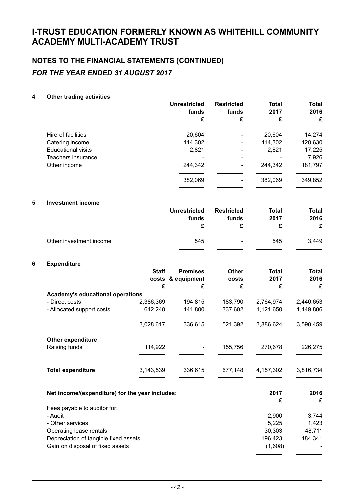## **NOTES TO THE FINANCIAL STATEMENTS (CONTINUED)** *FOR THE YEAR ENDED 31 AUGUST 2017*

#### **4 Other trading activities**

|   |                                                 |              | <b>Unrestricted</b><br>funds<br>£ | <b>Restricted</b><br>funds<br>£ | <b>Total</b><br>2017<br>£ | <b>Total</b><br>2016<br>£ |
|---|-------------------------------------------------|--------------|-----------------------------------|---------------------------------|---------------------------|---------------------------|
|   |                                                 |              |                                   |                                 |                           |                           |
|   | Hire of facilities                              |              | 20,604<br>114,302                 |                                 | 20,604                    | 14,274                    |
|   | Catering income                                 |              |                                   |                                 | 114,302                   | 128,630                   |
|   | <b>Educational visits</b><br>Teachers insurance |              | 2,821                             |                                 | 2,821                     | 17,225                    |
|   | Other income                                    |              | 244,342                           |                                 | 244,342                   | 7,926<br>181,797          |
|   |                                                 |              | 382,069                           |                                 | 382,069                   | 349,852                   |
|   |                                                 |              |                                   |                                 |                           |                           |
| 5 | <b>Investment income</b>                        |              | <b>Unrestricted</b>               | <b>Restricted</b>               | <b>Total</b>              | <b>Total</b>              |
|   |                                                 |              | funds                             | funds                           | 2017                      | 2016                      |
|   |                                                 |              | £                                 | £                               | £                         | £                         |
|   | Other investment income                         |              | 545                               |                                 | 545                       | 3,449                     |
|   |                                                 |              |                                   |                                 |                           |                           |
| 6 | <b>Expenditure</b>                              |              |                                   |                                 |                           |                           |
|   |                                                 | <b>Staff</b> | <b>Premises</b>                   | <b>Other</b>                    | <b>Total</b>              | <b>Total</b>              |
|   |                                                 |              | costs & equipment                 | costs                           | 2017                      | 2016                      |
|   |                                                 | £            | £                                 | £                               | £                         | £                         |
|   | Academy's educational operations                |              |                                   |                                 |                           |                           |
|   | - Direct costs                                  | 2,386,369    | 194,815                           | 183,790                         | 2,764,974                 | 2,440,653                 |
|   | - Allocated support costs                       | 642,248      | 141,800                           | 337,602                         | 1,121,650                 | 1,149,806                 |
|   |                                                 | 3,028,617    | 336,615                           | 521,392                         | 3,886,624                 | 3,590,459                 |
|   | <b>Other expenditure</b>                        |              |                                   |                                 |                           |                           |
|   | Raising funds                                   | 114,922      |                                   | 155,756                         | 270,678                   | 226,275                   |
|   | <b>Total expenditure</b>                        | 3,143,539    | 336,615                           | 677,148                         | 4, 157, 302               | 3,816,734                 |
|   | Net income/(expenditure) for the year includes: |              |                                   |                                 | 2017                      | 2016                      |
|   | Fees payable to auditor for:                    |              |                                   |                                 | £                         | £                         |
|   | - Audit                                         |              |                                   |                                 | 2,900                     | 3,744                     |
|   | - Other services                                |              |                                   |                                 | 5,225                     | 1,423                     |
|   | Operating lease rentals                         |              |                                   |                                 | 30,303                    | 48,711                    |
|   | Depreciation of tangible fixed assets           |              |                                   |                                 | 196,423                   | 184,341                   |
|   | Gain on disposal of fixed assets                |              |                                   |                                 | (1,608)                   |                           |
|   |                                                 |              |                                   |                                 |                           |                           |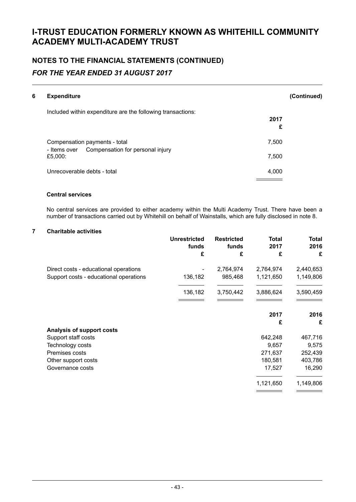## **NOTES TO THE FINANCIAL STATEMENTS (CONTINUED)** *FOR THE YEAR ENDED 31 AUGUST 2017*

| 6 | <b>Expenditure</b>                                          | (Continued) |  |
|---|-------------------------------------------------------------|-------------|--|
|   | Included within expenditure are the following transactions: |             |  |
|   |                                                             | 2017        |  |
|   |                                                             | £           |  |
|   | Compensation payments - total                               | 7,500       |  |
|   | Compensation for personal injury<br>- Items over            |             |  |
|   | £5,000:                                                     | 7,500       |  |
|   | Unrecoverable debts - total                                 | 4,000       |  |
|   |                                                             |             |  |

#### **Central services**

No central services are provided to either academy within the Multi Academy Trust. There have been a number of transactions carried out by Whitehill on behalf of Wainstalls, which are fully disclosed in note 8.

#### **7 Charitable activities**

| <b>Unrestricted</b> | <b>Restricted</b> | <b>Total</b> | <b>Total</b><br>2016                                     |
|---------------------|-------------------|--------------|----------------------------------------------------------|
| £                   | £                 | £            | £                                                        |
|                     | 2,764,974         | 2,764,974    | 2,440,653                                                |
| 136,182             | 985,468           | 1,121,650    | 1,149,806                                                |
| 136,182             | 3,750,442         | 3,886,624    | 3,590,459                                                |
|                     |                   | 2017         | 2016                                                     |
|                     |                   | £            | £                                                        |
|                     |                   |              |                                                          |
|                     |                   |              | 467,716                                                  |
|                     |                   |              | 9,575                                                    |
|                     |                   |              | 252,439                                                  |
|                     |                   |              | 403,786                                                  |
|                     |                   |              | 16,290                                                   |
|                     |                   | 1,121,650    | 1,149,806                                                |
|                     | funds             | funds        | 2017<br>642,248<br>9,657<br>271,637<br>180,581<br>17,527 |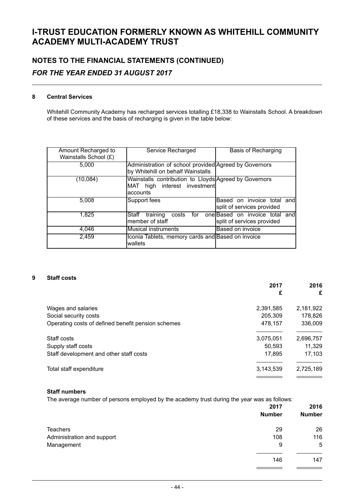## **NOTES TO THE FINANCIAL STATEMENTS (CONTINUED)** *FOR THE YEAR ENDED 31 AUGUST 2017*

#### **8 Central Services**

Whitehill Community Academy has recharged services totalling £18,338 to Wainstalls School. A breakdown of these services and the basis of recharging is given in the table below:

| Amount Recharged to<br>Wainstalls School (£) | <b>Service Recharged</b>                                                                                  | <b>Basis of Recharging</b>                                   |
|----------------------------------------------|-----------------------------------------------------------------------------------------------------------|--------------------------------------------------------------|
| 5,000                                        | Administration of school provided Agreed by Governors<br>by Whitehill on behalf Wainstalls                |                                                              |
| (10, 084)                                    | Wainstalls contribution to Lloyds Agreed by Governors<br>interest investment<br>high<br>IMAT<br>laccounts |                                                              |
| 5,008                                        | Support fees                                                                                              | Based on invoice total and<br>split of services provided     |
| 1,825                                        | training<br>IStaff<br>costs<br>for<br>member of staff                                                     | one Based on invoice total and<br>split of services provided |
| 4,046                                        | <b>Musical instruments</b>                                                                                | Based on invoice                                             |
| 2,459                                        | Iconia Tablets, memory cards and Based on invoice<br>lwallets                                             |                                                              |

#### **9 Staff costs**

|                                                    | 2017      | 2016      |
|----------------------------------------------------|-----------|-----------|
|                                                    | £         | £         |
| Wages and salaries                                 | 2,391,585 | 2,181,922 |
| Social security costs                              | 205,309   | 178,826   |
| Operating costs of defined benefit pension schemes | 478,157   | 336,009   |
| Staff costs                                        | 3,075,051 | 2,696,757 |
| Supply staff costs                                 | 50,593    | 11,329    |
| Staff development and other staff costs            | 17,895    | 17,103    |
| Total staff expenditure                            | 3,143,539 | 2,725,189 |
|                                                    |           |           |

#### **Staff numbers**

The average number of persons employed by the academy trust during the year was as follows:

|                            | 2017<br><b>Number</b> | 2016<br><b>Number</b> |
|----------------------------|-----------------------|-----------------------|
| <b>Teachers</b>            | 29                    | 26                    |
| Administration and support | 108                   | 116                   |
| Management                 | 9                     | 5                     |
|                            | 146                   | 147                   |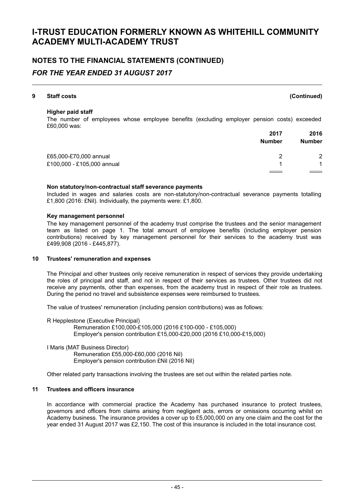# **NOTES TO THE FINANCIAL STATEMENTS (CONTINUED)**

### *FOR THE YEAR ENDED 31 AUGUST 2017*

#### **9 Staff costs (Continued)**

#### **Higher paid staff**

The number of employees whose employee benefits (excluding employer pension costs) exceeded £60,000 was:

|                            | 2017          | 2016          |
|----------------------------|---------------|---------------|
|                            | <b>Number</b> | <b>Number</b> |
| £65,000-£70,000 annual     |               | 2             |
| £100,000 - £105,000 annual |               | 1             |
|                            |               | $\sim$        |

#### **Non statutory/non-contractual staff severance payments**

Included in wages and salaries costs are non-statutory/non-contractual severance payments totalling £1,800 (2016: £Nil). Individually, the payments were: £1,800.

#### **Key management personnel**

The key management personnel of the academy trust comprise the trustees and the senior management team as listed on page 1. The total amount of employee benefits (including employer pension contributions) received by key management personnel for their services to the academy trust was £499,908 (2016 - £445,877).

#### **10 Trustees' remuneration and expenses**

The Principal and other trustees only receive remuneration in respect of services they provide undertaking the roles of principal and staff, and not in respect of their services as trustees. Other trustees did not receive any payments, other than expenses, from the academy trust in respect of their role as trustees. During the period no travel and subsistence expenses were reimbursed to trustees.

The value of trustees' remuneration (including pension contributions) was as follows:

R Hepplestone (Executive Principal) Remuneration £100,000-£105,000 (2016 £100-000 - £105,000) Employer's pension contribution £15,000-£20,000 (2016 £10,000-£15,000)

I Maris (MAT Business Director) Remuneration £55,000-£60,000 (2016 Nil) Employer's pension contribution £Nil (2016 Nil)

Other related party transactions involving the trustees are set out within the related parties note.

#### **11 Trustees and officers insurance**

In accordance with commercial practice the Academy has purchased insurance to protect trustees, governors and officers from claims arising from negligent acts, errors or omissions occurring whilst on Academy business. The insurance provides a cover up to £5,000,000 on any one claim and the cost for the year ended 31 August 2017 was £2,150. The cost of this insurance is included in the total insurance cost.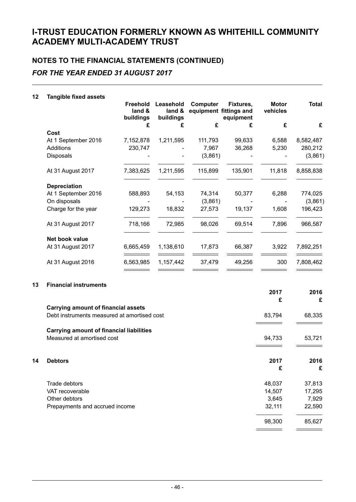## **NOTES TO THE FINANCIAL STATEMENTS (CONTINUED)** *FOR THE YEAR ENDED 31 AUGUST 2017*

#### **12 Tangible fixed assets**

|                     | <b>Freehold</b><br>land &<br>buildings | Leasehold<br>land &<br>buildings | Computer<br>equipment fittings and | Fixtures,<br>equipment | <b>Motor</b><br>vehicles | <b>Total</b> |
|---------------------|----------------------------------------|----------------------------------|------------------------------------|------------------------|--------------------------|--------------|
|                     | £                                      | £                                | £                                  | £                      | £                        | £            |
| Cost                |                                        |                                  |                                    |                        |                          |              |
| At 1 September 2016 | 7,152,878                              | 1,211,595                        | 111,793                            | 99,633                 | 6,588                    | 8,582,487    |
| Additions           | 230,747                                |                                  | 7,967                              | 36,268                 | 5,230                    | 280,212      |
| Disposals           |                                        |                                  | (3,861)                            |                        |                          | (3,861)      |
| At 31 August 2017   | 7,383,625                              | 1,211,595                        | 115,899                            | 135,901                | 11,818                   | 8,858,838    |
| <b>Depreciation</b> |                                        |                                  |                                    |                        |                          |              |
| At 1 September 2016 | 588,893                                | 54,153                           | 74,314                             | 50,377                 | 6,288                    | 774,025      |
| On disposals        |                                        |                                  | (3,861)                            |                        |                          | (3,861)      |
| Charge for the year | 129,273                                | 18,832                           | 27,573                             | 19,137                 | 1,608                    | 196,423      |
| At 31 August 2017   | 718,166                                | 72,985                           | 98,026                             | 69,514                 | 7,896                    | 966,587      |
| Net book value      |                                        |                                  |                                    |                        |                          |              |
| At 31 August 2017   | 6,665,459                              | 1,138,610                        | 17,873                             | 66,387                 | 3,922                    | 7,892,251    |
| At 31 August 2016   | 6,563,985                              | 1,157,442                        | 37,479                             | 49,256                 | 300                      | 7,808,462    |
|                     |                                        |                                  |                                    |                        |                          |              |

#### **13 Financial instruments**

|    |                                                 | 2017<br>£ | 2016<br>£ |
|----|-------------------------------------------------|-----------|-----------|
|    | <b>Carrying amount of financial assets</b>      |           |           |
|    | Debt instruments measured at amortised cost     | 83,794    | 68,335    |
|    | <b>Carrying amount of financial liabilities</b> |           |           |
|    | Measured at amortised cost                      | 94,733    | 53,721    |
| 14 | <b>Debtors</b>                                  | 2017      | 2016      |
|    |                                                 | £         | £         |
|    | Trade debtors                                   | 48,037    | 37,813    |
|    | VAT recoverable                                 | 14,507    | 17,295    |
|    | Other debtors                                   | 3,645     | 7,929     |
|    | Prepayments and accrued income                  | 32,111    | 22,590    |
|    |                                                 | 98,300    | 85,627    |
|    |                                                 |           |           |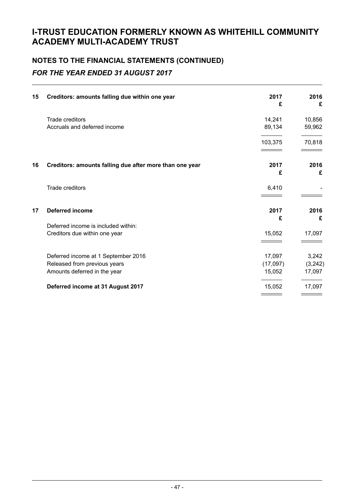### **NOTES TO THE FINANCIAL STATEMENTS (CONTINUED)** *FOR THE YEAR ENDED 31 AUGUST 2017*

| 15 | Creditors: amounts falling due within one year          | 2017<br>£        | 2016<br>£        |
|----|---------------------------------------------------------|------------------|------------------|
|    | Trade creditors<br>Accruals and deferred income         | 14,241<br>89,134 | 10,856<br>59,962 |
|    |                                                         |                  |                  |
|    |                                                         | 103,375          | 70,818           |
| 16 | Creditors: amounts falling due after more than one year | 2017<br>£        | 2016<br>£        |
|    | <b>Trade creditors</b>                                  | 6,410            |                  |
| 17 | <b>Deferred income</b>                                  | 2017<br>£        | 2016<br>£        |
|    | Deferred income is included within:                     |                  |                  |
|    | Creditors due within one year                           | 15,052           | 17,097           |
|    | Deferred income at 1 September 2016                     | 17,097           | 3,242            |
|    | Released from previous years                            | (17,097)         | (3, 242)         |
|    | Amounts deferred in the year                            | 15,052           | 17,097           |
|    | Deferred income at 31 August 2017                       | 15,052           | 17,097           |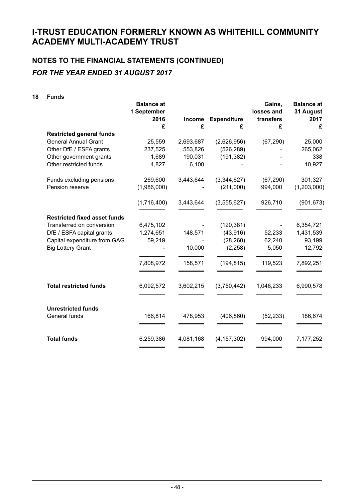### **NOTES TO THE FINANCIAL STATEMENTS (CONTINUED)** *FOR THE YEAR ENDED 31 AUGUST 2017*

| 18 | <b>Funds</b>                               |                                  |                    |                    |                      |                                |
|----|--------------------------------------------|----------------------------------|--------------------|--------------------|----------------------|--------------------------------|
|    |                                            | <b>Balance at</b><br>1 September |                    |                    | Gains,<br>losses and | <b>Balance at</b><br>31 August |
|    |                                            | 2016<br>£                        | <b>Income</b><br>£ | <b>Expenditure</b> | transfers            | 2017                           |
|    | <b>Restricted general funds</b>            |                                  |                    | £                  | £                    | £                              |
|    | <b>General Annual Grant</b>                | 25,559                           | 2,693,687          | (2,626,956)        | (67, 290)            | 25,000                         |
|    | Other DfE / ESFA grants                    | 237,525                          | 553,826            | (526, 289)         |                      | 265,062                        |
|    | Other government grants                    | 1,689                            | 190,031            | (191, 382)         |                      | 338                            |
|    | Other restricted funds                     | 4,827                            | 6,100              |                    |                      | 10,927                         |
|    | Funds excluding pensions                   | 269,600                          | 3,443,644          | (3,344,627)        | (67, 290)            | 301,327                        |
|    | Pension reserve                            | (1,986,000)                      |                    | (211,000)          | 994,000              | (1, 203, 000)                  |
|    |                                            | (1,716,400)                      | 3,443,644          | (3,555,627)        | 926,710              | (901, 673)                     |
|    | <b>Restricted fixed asset funds</b>        |                                  |                    |                    |                      |                                |
|    | Transferred on conversion                  | 6,475,102                        |                    | (120, 381)         |                      | 6,354,721                      |
|    | DfE / ESFA capital grants                  | 1,274,651                        | 148,571            | (43,916)           | 52,233               | 1,431,539                      |
|    | Capital expenditure from GAG               | 59,219                           |                    | (28, 260)          | 62,240               | 93,199                         |
|    | <b>Big Lottery Grant</b>                   |                                  | 10,000             | (2, 258)           | 5,050                | 12,792                         |
|    |                                            | 7,808,972                        | 158,571            | (194, 815)         | 119,523              | 7,892,251                      |
|    | <b>Total restricted funds</b>              | 6,092,572                        | 3,602,215          | (3,750,442)        | 1,046,233            | 6,990,578                      |
|    |                                            |                                  |                    |                    |                      |                                |
|    | <b>Unrestricted funds</b><br>General funds | 166,814                          | 478,953            | (406, 860)         | (52, 233)            | 186,674                        |
|    | <b>Total funds</b>                         | 6,259,386                        | 4,081,168          | (4, 157, 302)      | 994,000              | 7,177,252                      |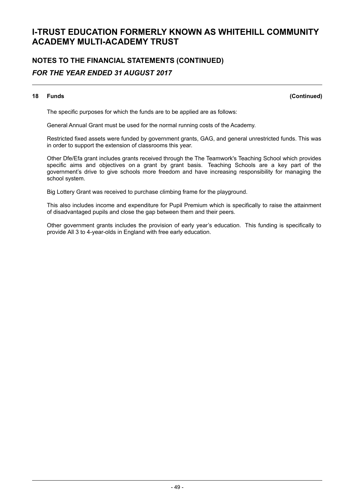### **NOTES TO THE FINANCIAL STATEMENTS (CONTINUED)** *FOR THE YEAR ENDED 31 AUGUST 2017*

#### **18 Funds (Continued)**

The specific purposes for which the funds are to be applied are as follows:

General Annual Grant must be used for the normal running costs of the Academy.

Restricted fixed assets were funded by government grants, GAG, and general unrestricted funds. This was in order to support the extension of classrooms this year.

Other Dfe/Efa grant includes grants received through the The Teamwork's Teaching School which provides specific aims and objectives on a grant by grant basis. Teaching Schools are a key part of the government's drive to give schools more freedom and have increasing responsibility for managing the school system.

Big Lottery Grant was received to purchase climbing frame for the playground.

This also includes income and expenditure for Pupil Premium which is specifically to raise the attainment of disadvantaged pupils and close the gap between them and their peers.

Other government grants includes the provision of early year's education. This funding is specifically to provide All 3 to 4-year-olds in England with free early education.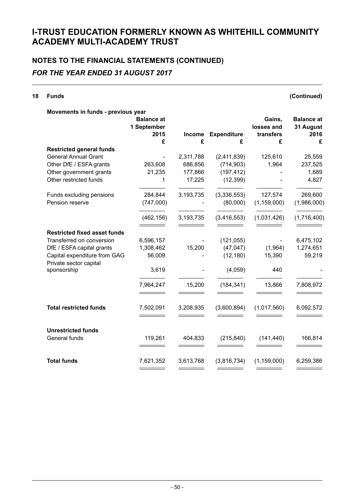### **NOTES TO THE FINANCIAL STATEMENTS (CONTINUED)** *FOR THE YEAR ENDED 31 AUGUST 2017*

**18 Funds (Continued)**

#### **Movements in funds - previous year**

|                                                        | <b>Balance at</b><br>1 September |               |                    | Gains,<br>losses and | <b>Balance at</b><br>31 August |
|--------------------------------------------------------|----------------------------------|---------------|--------------------|----------------------|--------------------------------|
|                                                        | 2015                             | <b>Income</b> | <b>Expenditure</b> | transfers            | 2016                           |
|                                                        | £                                | £             | £                  | £                    | £                              |
| <b>Restricted general funds</b>                        |                                  |               |                    |                      |                                |
| <b>General Annual Grant</b>                            |                                  | 2,311,788     | (2,411,839)        | 125,610              | 25,559                         |
| Other DfE / ESFA grants                                | 263,608                          | 686,856       | (714, 903)         | 1,964                | 237,525                        |
| Other government grants                                | 21,235                           | 177,866       | (197, 412)         |                      | 1,689                          |
| Other restricted funds                                 | 1                                | 17,225        | (12, 399)          |                      | 4,827                          |
| Funds excluding pensions                               | 284,844                          | 3,193,735     | (3,336,553)        | 127,574              | 269,600                        |
| Pension reserve                                        | (747,000)                        |               | (80,000)           | (1, 159, 000)        | (1,986,000)                    |
|                                                        | (462, 156)                       | 3,193,735     | (3, 416, 553)      | (1,031,426)          | (1,716,400)                    |
|                                                        |                                  |               |                    |                      |                                |
| <b>Restricted fixed asset funds</b>                    |                                  |               |                    |                      |                                |
| Transferred on conversion                              | 6,596,157                        |               | (121, 055)         |                      | 6,475,102                      |
| DfE / ESFA capital grants                              | 1,308,462                        | 15,200        | (47, 047)          | (1,964)              | 1,274,651                      |
| Capital expenditure from GAG<br>Private sector capital | 56,009                           |               | (12, 180)          | 15,390               | 59,219                         |
| sponsorship                                            | 3,619                            |               | (4,059)            | 440                  |                                |
|                                                        | 7,964,247                        | 15,200        | (184, 341)         | 13,866               | 7,808,972                      |
|                                                        |                                  |               |                    |                      |                                |
| <b>Total restricted funds</b>                          | 7,502,091                        | 3,208,935     | (3,600,894)        | (1,017,560)          | 6,092,572                      |
|                                                        |                                  |               |                    |                      |                                |
| <b>Unrestricted funds</b>                              |                                  |               |                    |                      |                                |
| General funds                                          | 119,261                          | 404,833       | (215, 840)         | (141, 440)           | 166,814                        |
|                                                        |                                  |               |                    |                      |                                |
| <b>Total funds</b>                                     | 7,621,352                        | 3,613,768     | (3,816,734)        | (1, 159, 000)        | 6,259,386                      |
|                                                        |                                  |               |                    |                      |                                |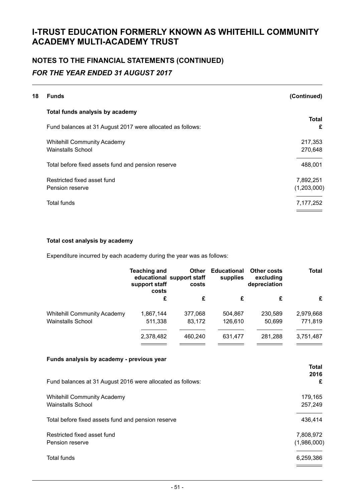### **NOTES TO THE FINANCIAL STATEMENTS (CONTINUED)** *FOR THE YEAR ENDED 31 AUGUST 2017*

| 18 | <b>Funds</b>                                               | (Continued)              |
|----|------------------------------------------------------------|--------------------------|
|    | Total funds analysis by academy                            |                          |
|    | Fund balances at 31 August 2017 were allocated as follows: | <b>Total</b><br>£        |
|    | <b>Whitehill Community Academy</b><br>Wainstalls School    | 217,353<br>270,648       |
|    | Total before fixed assets fund and pension reserve         | 488,001                  |
|    | Restricted fixed asset fund<br>Pension reserve             | 7,892,251<br>(1,203,000) |
|    | <b>Total funds</b>                                         | 7,177,252                |

#### **Total cost analysis by academy**

Expenditure incurred by each academy during the year was as follows:

|                                    | <b>Teaching and</b><br>support staff<br>costs | <b>Other</b><br>educational support staff<br>costs | <b>Educational</b><br>supplies | Other costs<br>excluding<br>depreciation | <b>Total</b> |
|------------------------------------|-----------------------------------------------|----------------------------------------------------|--------------------------------|------------------------------------------|--------------|
|                                    | £                                             | £                                                  | £                              | £                                        | £            |
| <b>Whitehill Community Academy</b> | 1,867,144                                     | 377,068                                            | 504,867                        | 230,589                                  | 2,979,668    |
| <b>Wainstalls School</b>           | 511,338                                       | 83,172                                             | 126,610                        | 50.699                                   | 771,819      |
|                                    | 2,378,482                                     | 460.240                                            | 631.477                        | 281,288                                  | 3,751,487    |

#### **Funds analysis by academy - previous year**

| Fund balances at 31 August 2016 were allocated as follows:     | Total<br>2016<br>£       |
|----------------------------------------------------------------|--------------------------|
| <b>Whitehill Community Academy</b><br><b>Wainstalls School</b> | 179.165<br>257,249       |
| Total before fixed assets fund and pension reserve             | 436,414                  |
| Restricted fixed asset fund<br>Pension reserve                 | 7,808,972<br>(1,986,000) |
| Total funds                                                    | 6,259,386                |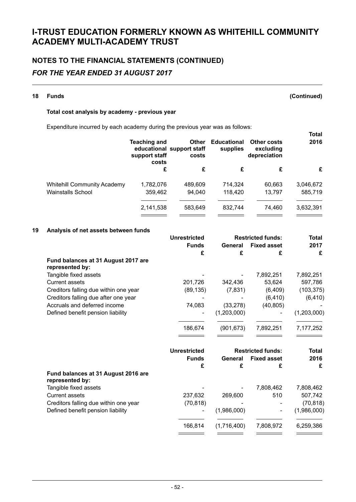### **NOTES TO THE FINANCIAL STATEMENTS (CONTINUED)** *FOR THE YEAR ENDED 31 AUGUST 2017*

**18 Funds (Continued)**

#### **Total cost analysis by academy - previous year**

Expenditure incurred by each academy during the previous year was as follows:

|                                                                | <b>Teaching and</b><br>support staff<br>costs | <b>Other</b><br>educational support staff<br>costs | <b>Educational</b><br>supplies | Other costs<br>excluding<br>depreciation | <b>Total</b><br>2016 |
|----------------------------------------------------------------|-----------------------------------------------|----------------------------------------------------|--------------------------------|------------------------------------------|----------------------|
|                                                                | £                                             | £                                                  | £                              | £                                        | £                    |
| <b>Whitehill Community Academy</b><br><b>Wainstalls School</b> | 1,782,076<br>359,462                          | 489,609<br>94.040                                  | 714,324<br>118.420             | 60,663<br>13.797                         | 3,046,672<br>585,719 |
|                                                                | 2,141,538                                     | 583,649                                            | 832.744                        | 74.460                                   | 3,632,391            |

#### **19 Analysis of net assets between funds**

|                                                        | <b>Unrestricted</b> | <b>Restricted funds:</b> |                          | <b>Total</b> |
|--------------------------------------------------------|---------------------|--------------------------|--------------------------|--------------|
|                                                        | <b>Funds</b>        | General                  | <b>Fixed asset</b>       | 2017         |
|                                                        | £                   | £                        | £                        | £            |
| Fund balances at 31 August 2017 are<br>represented by: |                     |                          |                          |              |
| Tangible fixed assets                                  |                     |                          | 7,892,251                | 7,892,251    |
| <b>Current assets</b>                                  | 201,726             | 342,436                  | 53,624                   | 597,786      |
| Creditors falling due within one year                  | (89, 135)           | (7,831)                  | (6, 409)                 | (103, 375)   |
| Creditors falling due after one year                   |                     |                          | (6, 410)                 | (6, 410)     |
| Accruals and deferred income                           | 74,083              | (33, 278)                | (40, 805)                |              |
| Defined benefit pension liability                      |                     | (1,203,000)              |                          | (1,203,000)  |
|                                                        | 186,674             | (901, 673)               | 7,892,251                | 7,177,252    |
|                                                        | <b>Unrestricted</b> |                          | <b>Restricted funds:</b> | <b>Total</b> |
|                                                        | <b>Funds</b>        | General                  | <b>Fixed asset</b>       | 2016         |
|                                                        | £                   | £                        | £                        | £            |
| Fund balances at 31 August 2016 are<br>represented by: |                     |                          |                          |              |
| Tangible fixed assets                                  |                     |                          | 7,808,462                | 7,808,462    |
| <b>Current assets</b>                                  | 237,632             | 269,600                  | 510                      | 507,742      |
| Creditors falling due within one year                  | (70, 818)           |                          |                          | (70, 818)    |
| Defined benefit pension liability                      |                     | (1,986,000)              |                          | (1,986,000)  |
|                                                        | 166,814             | (1,716,400)              | 7,808,972                | 6,259,386    |

 $\equiv$ 

 $\qquad \qquad \overbrace{\qquad \qquad }$ 

 $\qquad \qquad \overbrace{\qquad \qquad }$ 

 $\frac{1}{2} \left( \frac{1}{2} \right) \left( \frac{1}{2} \right) \left( \frac{1}{2} \right) \left( \frac{1}{2} \right) \left( \frac{1}{2} \right) \left( \frac{1}{2} \right) \left( \frac{1}{2} \right) \left( \frac{1}{2} \right) \left( \frac{1}{2} \right) \left( \frac{1}{2} \right) \left( \frac{1}{2} \right) \left( \frac{1}{2} \right) \left( \frac{1}{2} \right) \left( \frac{1}{2} \right) \left( \frac{1}{2} \right) \left( \frac{1}{2} \right) \left( \frac$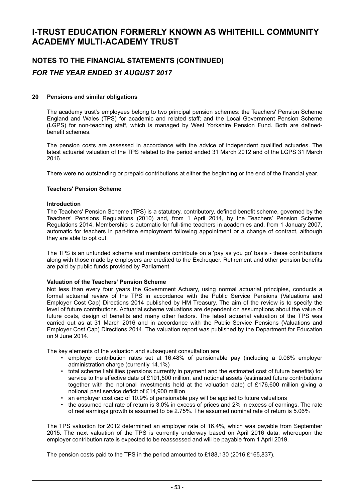### **NOTES TO THE FINANCIAL STATEMENTS (CONTINUED)** *FOR THE YEAR ENDED 31 AUGUST 2017*

#### **20 Pensions and similar obligations**

The academy trust's employees belong to two principal pension schemes: the Teachers' Pension Scheme England and Wales (TPS) for academic and related staff; and the Local Government Pension Scheme (LGPS) for non-teaching staff, which is managed by West Yorkshire Pension Fund. Both are definedbenefit schemes.

The pension costs are assessed in accordance with the advice of independent qualified actuaries. The latest actuarial valuation of the TPS related to the period ended 31 March 2012 and of the LGPS 31 March 2016.

There were no outstanding or prepaid contributions at either the beginning or the end of the financial year.

#### **Teachers' Pension Scheme**

#### **Introduction**

The Teachers' Pension Scheme (TPS) is a statutory, contributory, defined benefit scheme, governed by the Teachers' Pensions Regulations (2010) and, from 1 April 2014, by the Teachers' Pension Scheme Regulations 2014. Membership is automatic for full-time teachers in academies and, from 1 January 2007, automatic for teachers in part-time employment following appointment or a change of contract, although they are able to opt out.

The TPS is an unfunded scheme and members contribute on a 'pay as you go' basis - these contributions along with those made by employers are credited to the Exchequer. Retirement and other pension benefits are paid by public funds provided by Parliament.

#### **Valuation of the Teachers' Pension Scheme**

Not less than every four years the Government Actuary, using normal actuarial principles, conducts a formal actuarial review of the TPS in accordance with the Public Service Pensions (Valuations and Employer Cost Cap) Directions 2014 published by HM Treasury. The aim of the review is to specify the level of future contributions. Actuarial scheme valuations are dependent on assumptions about the value of future costs, design of benefits and many other factors. The latest actuarial valuation of the TPS was carried out as at 31 March 2016 and in accordance with the Public Service Pensions (Valuations and Employer Cost Cap) Directions 2014. The valuation report was published by the Department for Education on 9 June 2014.

The key elements of the valuation and subsequent consultation are:

- employer contribution rates set at 16.48% of pensionable pay (including a 0.08% employer administration charge (currently 14.1%)
- total scheme liabilities (pensions currently in payment and the estimated cost of future benefits) for service to the effective date of £191,500 million, and notional assets (estimated future contributions together with the notional investments held at the valuation date) of £176,600 million giving a notional past service deficit of £14,900 million
- an employer cost cap of 10.9% of pensionable pay will be applied to future valuations
- the assumed real rate of return is 3.0% in excess of prices and 2% in excess of earnings. The rate of real earnings growth is assumed to be 2.75%. The assumed nominal rate of return is 5.06%

The TPS valuation for 2012 determined an employer rate of 16.4%, which was payable from September 2015. The next valuation of the TPS is currently underway based on April 2016 data, whereupon the employer contribution rate is expected to be reassessed and will be payable from 1 April 2019.

The pension costs paid to the TPS in the period amounted to £188,130 (2016 £165,837).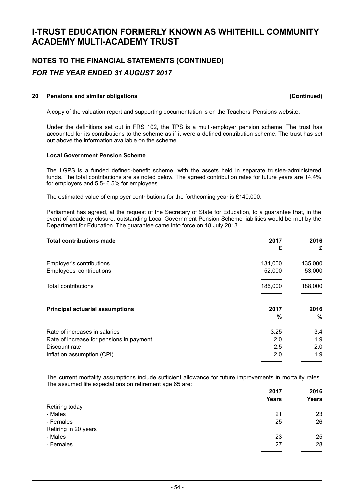### **NOTES TO THE FINANCIAL STATEMENTS (CONTINUED)** *FOR THE YEAR ENDED 31 AUGUST 2017*

#### **20 Pensions and similar obligations (Continued)**

A copy of the valuation report and supporting documentation is on the Teachers' Pensions website.

Under the definitions set out in FRS 102, the TPS is a multi-employer pension scheme. The trust has accounted for its contributions to the scheme as if it were a defined contribution scheme. The trust has set out above the information available on the scheme.

#### **Local Government Pension Scheme**

The LGPS is a funded defined-benefit scheme, with the assets held in separate trustee-administered funds. The total contributions are as noted below. The agreed contribution rates for future years are 14.4% for employers and 5.5- 6.5% for employees.

The estimated value of employer contributions for the forthcoming year is £140,000.

Parliament has agreed, at the request of the Secretary of State for Education, to a guarantee that, in the event of academy closure, outstanding Local Government Pension Scheme liabilities would be met by the Department for Education. The guarantee came into force on 18 July 2013.

| <b>Total contributions made</b>          | 2017    | 2016    |
|------------------------------------------|---------|---------|
|                                          | £       | £       |
| Employer's contributions                 | 134,000 | 135,000 |
| Employees' contributions                 | 52,000  | 53,000  |
| <b>Total contributions</b>               | 186,000 | 188,000 |
| <b>Principal actuarial assumptions</b>   | 2017    | 2016    |
|                                          | %       | $\%$    |
| Rate of increases in salaries            | 3.25    | 3.4     |
| Rate of increase for pensions in payment | 2.0     | 1.9     |
| Discount rate                            | 2.5     | 2.0     |
| Inflation assumption (CPI)               | 2.0     | 1.9     |

The current mortality assumptions include sufficient allowance for future improvements in mortality rates. The assumed life expectations on retirement age 65 are:

|                      | 2017         | 2016         |
|----------------------|--------------|--------------|
|                      | <b>Years</b> | <b>Years</b> |
| Retiring today       |              |              |
| - Males              | 21           | 23           |
| - Females            | 25           | 26           |
| Retiring in 20 years |              |              |
| - Males              | 23           | 25           |
| - Females            | 27           | 28           |
|                      |              |              |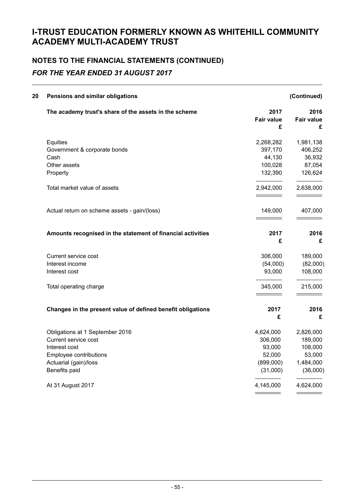### **NOTES TO THE FINANCIAL STATEMENTS (CONTINUED)** *FOR THE YEAR ENDED 31 AUGUST 2017*

| 20 | Pensions and similar obligations                            |                                | (Continued)                    |
|----|-------------------------------------------------------------|--------------------------------|--------------------------------|
|    | The academy trust's share of the assets in the scheme       | 2017<br><b>Fair value</b><br>£ | 2016<br><b>Fair value</b><br>£ |
|    | Equities                                                    | 2,268,282                      | 1,981,138                      |
|    | Government & corporate bonds                                | 397,170                        | 406,252                        |
|    | Cash                                                        | 44,130                         | 36,932                         |
|    | Other assets                                                | 100,028                        | 87,054                         |
|    | Property                                                    | 132,390                        | 126,624                        |
|    | Total market value of assets                                | 2,942,000                      | 2,638,000                      |
|    | Actual return on scheme assets - gain/(loss)                | 149,000                        | 407,000                        |
|    | Amounts recognised in the statement of financial activities | 2017<br>£                      | 2016<br>£                      |
|    | Current service cost                                        | 306,000                        | 189,000                        |
|    | Interest income                                             | (54,000)                       | (82,000)                       |
|    | Interest cost                                               | 93,000                         | 108,000                        |
|    | Total operating charge                                      | 345,000                        | 215,000                        |
|    | Changes in the present value of defined benefit obligations | 2017<br>£                      | 2016<br>£                      |
|    |                                                             |                                |                                |
|    | Obligations at 1 September 2016                             | 4,624,000                      | 2,826,000                      |
|    | Current service cost                                        | 306,000                        | 189,000                        |
|    | Interest cost                                               | 93,000                         | 108,000                        |
|    | Employee contributions                                      | 52,000                         | 53,000                         |
|    | Actuarial (gain)/loss                                       | (899,000)                      | 1,484,000                      |
|    | Benefits paid                                               | (31,000)                       | (36,000)                       |
|    | At 31 August 2017                                           | 4,145,000                      | 4,624,000                      |
|    |                                                             |                                |                                |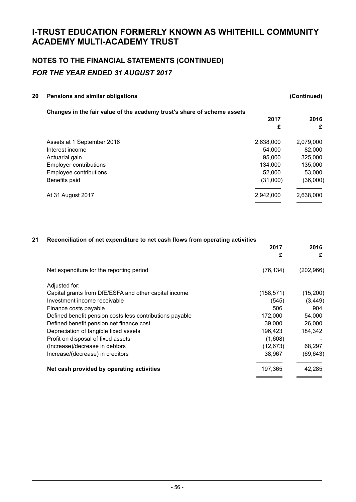## **NOTES TO THE FINANCIAL STATEMENTS (CONTINUED)** *FOR THE YEAR ENDED 31 AUGUST 2017*

| 20 | Pensions and similar obligations                                        |           | (Continued) |
|----|-------------------------------------------------------------------------|-----------|-------------|
|    | Changes in the fair value of the academy trust's share of scheme assets |           |             |
|    |                                                                         | 2017      | 2016        |
|    |                                                                         | £         | £           |
|    | Assets at 1 September 2016                                              | 2,638,000 | 2,079,000   |
|    | Interest income                                                         | 54.000    | 82,000      |
|    | Actuarial gain                                                          | 95,000    | 325,000     |
|    | <b>Employer contributions</b>                                           | 134.000   | 135,000     |
|    | Employee contributions                                                  | 52,000    | 53,000      |
|    | Benefits paid                                                           | (31,000)  | (36,000)    |
|    | At 31 August 2017                                                       | 2,942,000 | 2,638,000   |
|    |                                                                         |           |             |

#### **21 Reconciliation of net expenditure to net cash flows from operating activities**

|                                                          | 2017<br>£  | 2016<br>£  |
|----------------------------------------------------------|------------|------------|
| Net expenditure for the reporting period                 | (76, 134)  | (202, 966) |
| Adjusted for:                                            |            |            |
| Capital grants from DfE/ESFA and other capital income    | (158, 571) | (15,200)   |
| Investment income receivable                             | (545)      | (3, 449)   |
| Finance costs payable                                    | 506        | 904        |
| Defined benefit pension costs less contributions payable | 172,000    | 54,000     |
| Defined benefit pension net finance cost                 | 39,000     | 26,000     |
| Depreciation of tangible fixed assets                    | 196,423    | 184,342    |
| Profit on disposal of fixed assets                       | (1,608)    |            |
| (Increase)/decrease in debtors                           | (12, 673)  | 68,297     |
| Increase/(decrease) in creditors                         | 38,967     | (69, 643)  |
| Net cash provided by operating activities                | 197,365    | 42,285     |